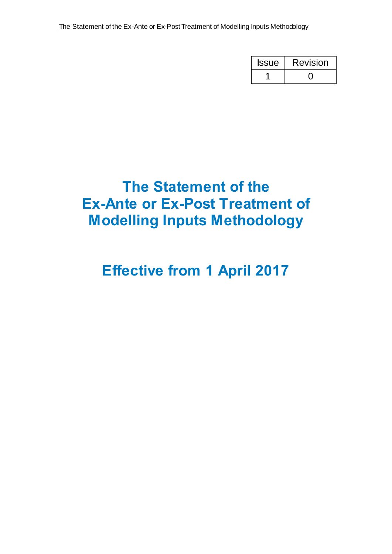| <b>Issue</b> | <b>Revision</b> |  |
|--------------|-----------------|--|
|              |                 |  |

# **The Statement of the Ex-Ante or Ex-Post Treatment of Modelling Inputs Methodology**

# **Effective from 1 April 2017**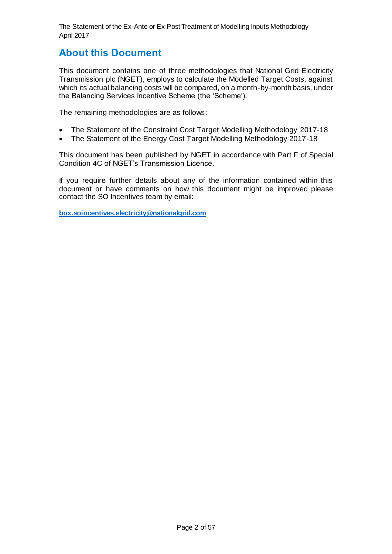# **About this Document**

This document contains one of three methodologies that National Grid Electricity Transmission plc (NGET), employs to calculate the Modelled Target Costs, against which its actual balancing costs will be compared, on a month-by-month basis, under the Balancing Services Incentive Scheme (the 'Scheme').

The remaining methodologies are as follows:

- The Statement of the Constraint Cost Target Modelling Methodology 2017-18
- The Statement of the Energy Cost Target Modelling Methodology 2017-18

This document has been published by NGET in accordance with Part F of Special Condition 4C of NGET's Transmission Licence.

If you require further details about any of the information contained within this document or have comments on how this document might be improved please contact the SO Incentives team by email:

**[box.soincentives.electricity@nationalgrid.com](mailto:box.soincentives.electricity@nationalgrid.com)**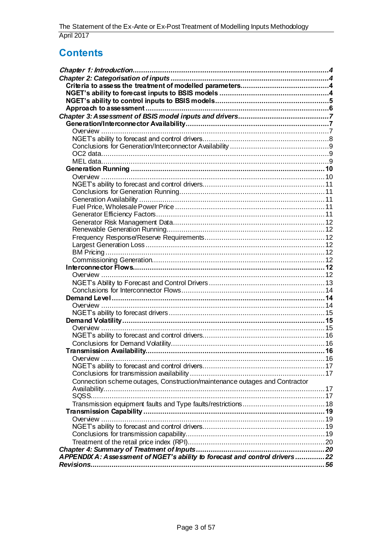# **Contents**

| Connection scheme outages, Construction/maintenance outages and Contractor |  |
|----------------------------------------------------------------------------|--|
|                                                                            |  |
|                                                                            |  |
|                                                                            |  |
|                                                                            |  |
|                                                                            |  |
|                                                                            |  |
|                                                                            |  |
|                                                                            |  |
|                                                                            |  |
|                                                                            |  |
| APPENDIX A: Assessment of NGET's ability to forecast and control drivers22 |  |
|                                                                            |  |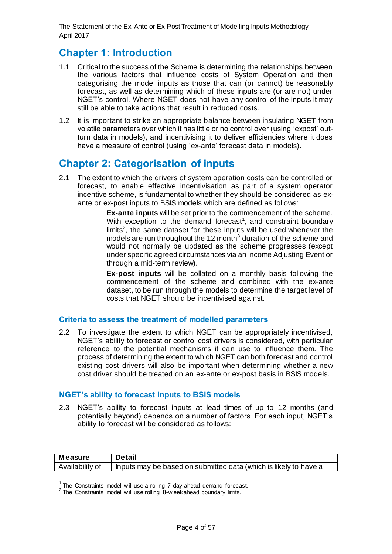# <span id="page-3-0"></span>**Chapter 1: Introduction**

- 1.1 Critical to the success of the Scheme is determining the relationships between the various factors that influence costs of System Operation and then categorising the model inputs as those that can (or cannot) be reasonably forecast, as well as determining which of these inputs are (or are not) under NGET's control. Where NGET does not have any control of the inputs it may still be able to take actions that result in reduced costs.
- 1.2 It is important to strike an appropriate balance between insulating NGET from volatile parameters over which it has little or no control over (using 'expost' outturn data in models), and incentivising it to deliver efficiencies where it does have a measure of control (using 'ex-ante' forecast data in models).

# <span id="page-3-1"></span>**Chapter 2: Categorisation of inputs**

2.1 The extent to which the drivers of system operation costs can be controlled or forecast, to enable effective incentivisation as part of a system operator incentive scheme, is fundamental to whether they should be considered as exante or ex-post inputs to BSIS models which are defined as follows:

> **Ex-ante inputs** will be set prior to the commencement of the scheme. With exception to the demand forecast<sup>1</sup>, and constraint boundary limits<sup>2</sup>, the same dataset for these inputs will be used whenever the models are run throughout the 12 month<sup>3</sup> duration of the scheme and would not normally be updated as the scheme progresses (except under specific agreed circumstances via an Income Adjusting Event or through a mid-term review).

> **Ex-post inputs** will be collated on a monthly basis following the commencement of the scheme and combined with the ex-ante dataset, to be run through the models to determine the target level of costs that NGET should be incentivised against.

# <span id="page-3-2"></span>**Criteria to assess the treatment of modelled parameters**

2.2 To investigate the extent to which NGET can be appropriately incentivised, NGET's ability to forecast or control cost drivers is considered, with particular reference to the potential mechanisms it can use to influence them. The process of determining the extent to which NGET can both forecast and control existing cost drivers will also be important when determining whether a new cost driver should be treated on an ex-ante or ex-post basis in BSIS models.

# <span id="page-3-3"></span>**NGET's ability to forecast inputs to BSIS models**

2.3 NGET's ability to forecast inputs at lead times of up to 12 months (and potentially beyond) depends on a number of factors. For each input, NGET's ability to forecast will be considered as follows:

| <b>Measure</b>  | <b>Detail</b>                                                    |
|-----------------|------------------------------------------------------------------|
| Availability of | Inputs may be based on submitted data (which is likely to have a |

 1 The Constraints model w ill use a rolling 7-day ahead demand forecast.

 $2$  The Constraints model will use rolling  $8$ -week ahead boundary limits.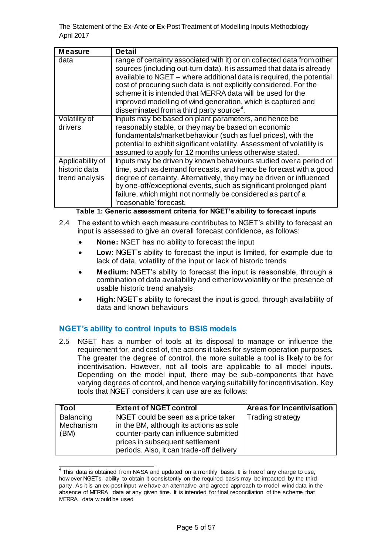| <b>Measure</b>                                      | <b>Detail</b>                                                                                                                                                                                                                                                                                                                                                                                                                                                                       |
|-----------------------------------------------------|-------------------------------------------------------------------------------------------------------------------------------------------------------------------------------------------------------------------------------------------------------------------------------------------------------------------------------------------------------------------------------------------------------------------------------------------------------------------------------------|
| data                                                | range of certainty associated with it) or on collected data from other<br>sources (including out-turn data). It is assumed that data is already<br>available to NGET - where additional data is required, the potential<br>cost of procuring such data is not explicitly considered. For the<br>scheme it is intended that MERRA data will be used for the<br>improved modelling of wind generation, which is captured and<br>disseminated from a third party source <sup>4</sup> . |
| Volatility of<br>drivers                            | Inputs may be based on plant parameters, and hence be<br>reasonably stable, or they may be based on economic<br>fundamentals/market behaviour (such as fuel prices), with the<br>potential to exhibit significant volatility. Assessment of volatility is<br>assumed to apply for 12 months unless otherwise stated.                                                                                                                                                                |
| Applicability of<br>historic data<br>trend analysis | Inputs may be driven by known behaviours studied over a period of<br>time, such as demand forecasts, and hence be forecast with a good<br>degree of certainty. Alternatively, they may be driven or influenced<br>by one-off/exceptional events, such as significant prolonged plant<br>failure, which might not normally be considered as part of a<br>'reasonable' forecast.<br>$\mathbf{A}$<br>.  .                                                                              |

**Table 1: Generic assessment criteria for NGET's ability to forecast inputs**

- 2.4 The extent to which each measure contributes to NGET's ability to forecast an input is assessed to give an overall forecast confidence, as follows:
	- **None:** NGET has no ability to forecast the input
	- **Low:** NGET's ability to forecast the input is limited, for example due to lack of data, volatility of the input or lack of historic trends
	- **Medium:** NGET's ability to forecast the input is reasonable, through a combination of data availability and either low volatility or the presence of usable historic trend analysis
	- **High:** NGET's ability to forecast the input is good, through availability of data and known behaviours

# <span id="page-4-0"></span>**NGET's ability to control inputs to BSIS models**

2.5 NGET has a number of tools at its disposal to manage or influence the requirement for, and cost of, the actions it takes for system operation purposes. The greater the degree of control, the more suitable a tool is likely to be for incentivisation. However, not all tools are applicable to all model inputs. Depending on the model input, there may be sub-components that have varying degrees of control, and hence varying suitability for incentivisation. Key tools that NGET considers it can use are as follows:

| Tool                           | <b>Extent of NGET control</b>                                                                                                                                                                          | Areas for Incentivisation |
|--------------------------------|--------------------------------------------------------------------------------------------------------------------------------------------------------------------------------------------------------|---------------------------|
| Balancing<br>Mechanism<br>(BM) | NGET could be seen as a price taker<br>in the BM, although its actions as sole<br>counter-party can influence submitted<br>prices in subsequent settlement<br>periods. Also, it can trade-off delivery | <b>Trading strategy</b>   |

 4 This data is obtained from NASA and updated on a monthly basis. It is free of any charge to use, how ever NGET's ability to obtain it consistently on the required basis may be impacted by the third party. As it is an ex-post input w e have an alternative and agreed approach to model w ind data in the absence of MERRA data at any given time. It is intended for final reconciliation of the scheme that MERRA data w ould be used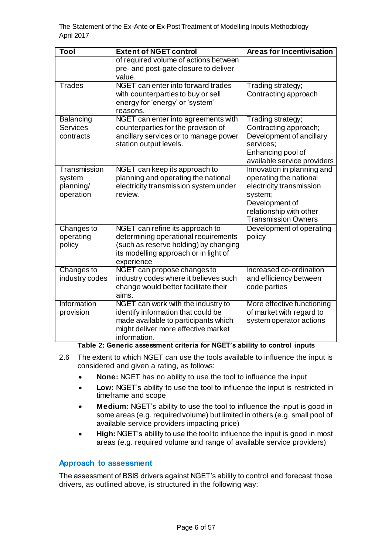| Tool                                             | <b>Extent of NGET control</b>                                                                                                                                           | <b>Areas for Incentivisation</b>                                                                                                                                       |
|--------------------------------------------------|-------------------------------------------------------------------------------------------------------------------------------------------------------------------------|------------------------------------------------------------------------------------------------------------------------------------------------------------------------|
|                                                  | of required volume of actions between<br>pre- and post-gate closure to deliver<br>value.                                                                                |                                                                                                                                                                        |
| <b>Trades</b>                                    | NGET can enter into forward trades<br>with counterparties to buy or sell<br>energy for 'energy' or 'system'<br>reasons.                                                 | Trading strategy;<br>Contracting approach                                                                                                                              |
| Balancing<br><b>Services</b><br>contracts        | NGET can enter into agreements with<br>counterparties for the provision of<br>ancillary services or to manage power<br>station output levels.                           | Trading strategy;<br>Contracting approach;<br>Development of ancillary<br>services;<br>Enhancing pool of<br>available service providers                                |
| Transmission<br>system<br>planning/<br>operation | NGET can keep its approach to<br>planning and operating the national<br>electricity transmission system under<br>review.                                                | Innovation in planning and<br>operating the national<br>electricity transmission<br>system;<br>Development of<br>relationship with other<br><b>Transmission Owners</b> |
| Changes to<br>operating<br>policy                | NGET can refine its approach to<br>determining operational requirements<br>(such as reserve holding) by changing<br>its modelling approach or in light of<br>experience | Development of operating<br>policy                                                                                                                                     |
| <b>Changes to</b><br>industry codes              | NGET can propose changes to<br>industry codes where it believes such<br>change would better facilitate their<br>aims.                                                   | Increased co-ordination<br>and efficiency between<br>code parties                                                                                                      |
| Information<br>provision                         | NGET can work with the industry to<br>identify information that could be<br>made available to participants which<br>might deliver more effective market<br>information. | More effective functioning<br>of market with regard to<br>system operator actions                                                                                      |

**Table 2: Generic assessment criteria for NGET's ability to control inputs**

- 2.6 The extent to which NGET can use the tools available to influence the input is considered and given a rating, as follows:
	- **None:** NGET has no ability to use the tool to influence the input
	- **Low:** NGET's ability to use the tool to influence the input is restricted in timeframe and scope
	- **Medium:** NGET's ability to use the tool to influence the input is good in some areas (e.g. required volume) but limited in others (e.g. small pool of available service providers impacting price)
	- **High:** NGET's ability to use the tool to influence the input is good in most areas (e.g. required volume and range of available service providers)

# <span id="page-5-0"></span>**Approach to assessment**

The assessment of BSIS drivers against NGET's ability to control and forecast those drivers, as outlined above, is structured in the following way: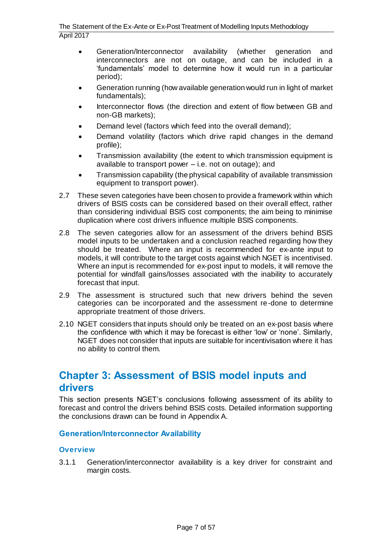- Generation/Interconnector availability (whether generation and interconnectors are not on outage, and can be included in a 'fundamentals' model to determine how it would run in a particular period);
- Generation running (how available generation would run in light of market fundamentals);
- Interconnector flows (the direction and extent of flow between GB and non-GB markets);
- Demand level (factors which feed into the overall demand);
- Demand volatility (factors which drive rapid changes in the demand profile);
- Transmission availability (the extent to which transmission equipment is available to transport power – i.e. not on outage); and
- Transmission capability (the physical capability of available transmission equipment to transport power).
- 2.7 These seven categories have been chosen to provide a framework within which drivers of BSIS costs can be considered based on their overall effect, rather than considering individual BSIS cost components; the aim being to minimise duplication where cost drivers influence multiple BSIS components.
- 2.8 The seven categories allow for an assessment of the drivers behind BSIS model inputs to be undertaken and a conclusion reached regarding how they should be treated. Where an input is recommended for ex-ante input to models, it will contribute to the target costs against which NGET is incentivised. Where an input is recommended for ex-post input to models, it will remove the potential for windfall gains/losses associated with the inability to accurately forecast that input.
- 2.9 The assessment is structured such that new drivers behind the seven categories can be incorporated and the assessment re-done to determine appropriate treatment of those drivers.
- 2.10 NGET considers that inputs should only be treated on an ex-post basis where the confidence with which it may be forecast is either 'low' or 'none'. Similarly, NGET does not consider that inputs are suitable for incentivisation where it has no ability to control them.

# <span id="page-6-0"></span>**Chapter 3: Assessment of BSIS model inputs and drivers**

This section presents NGET's conclusions following assessment of its ability to forecast and control the drivers behind BSIS costs. Detailed information supporting the conclusions drawn can be found in Appendix A.

#### <span id="page-6-1"></span>**Generation/Interconnector Availability**

#### <span id="page-6-2"></span>**Overview**

<span id="page-6-3"></span>3.1.1 Generation/interconnector availability is a key driver for constraint and margin costs.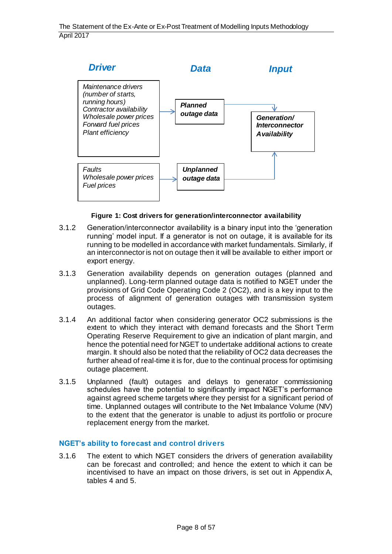

#### **Figure 1: Cost drivers for generation/interconnector availability**

- 3.1.2 Generation/interconnector availability is a binary input into the 'generation running' model input. If a generator is not on outage, it is available for its running to be modelled in accordance with market fundamentals. Similarly, if an interconnector is not on outage then it will be available to either import or export energy.
- 3.1.3 Generation availability depends on generation outages (planned and unplanned). Long-term planned outage data is notified to NGET under the provisions of Grid Code Operating Code 2 (OC2), and is a key input to the process of alignment of generation outages with transmission system outages.
- 3.1.4 An additional factor when considering generator OC2 submissions is the extent to which they interact with demand forecasts and the Short Term Operating Reserve Requirement to give an indication of plant margin, and hence the potential need for NGET to undertake additional actions to create margin. It should also be noted that the reliability of OC2 data decreases the further ahead of real-time it is for, due to the continual process for optimising outage placement.
- 3.1.5 Unplanned (fault) outages and delays to generator commissioning schedules have the potential to significantly impact NGET's performance against agreed scheme targets where they persist for a significant period of time. Unplanned outages will contribute to the Net Imbalance Volume (NIV) to the extent that the generator is unable to adjust its portfolio or procure replacement energy from the market.

#### <span id="page-7-0"></span>**NGET's ability to forecast and control drivers**

3.1.6 The extent to which NGET considers the drivers of generation availability can be forecast and controlled; and hence the extent to which it can be incentivised to have an impact on those drivers, is set out in Appendix A, tables 4 and 5.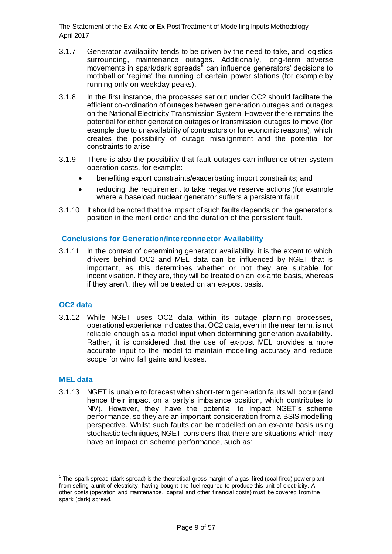- 3.1.7 Generator availability tends to be driven by the need to take, and logistics surrounding, maintenance outages. Additionally, long-term adverse movements in spark/dark spreads<sup>5</sup> can influence generators' decisions to mothball or 'regime' the running of certain power stations (for example by running only on weekday peaks).
- 3.1.8 In the first instance, the processes set out under OC2 should facilitate the efficient co-ordination of outages between generation outages and outages on the National Electricity Transmission System. However there remains the potential for either generation outages or transmission outages to move (for example due to unavailability of contractors or for economic reasons), which creates the possibility of outage misalignment and the potential for constraints to arise.
- 3.1.9 There is also the possibility that fault outages can influence other system operation costs, for example:
	- benefiting export constraints/exacerbating import constraints; and
	- reducing the requirement to take negative reserve actions (for example where a baseload nuclear generator suffers a persistent fault.
- 3.1.10 It should be noted that the impact of such faults depends on the generator's position in the merit order and the duration of the persistent fault.

### <span id="page-8-0"></span>**Conclusions for Generation/Interconnector Availability**

3.1.11 In the context of determining generator availability, it is the extent to which drivers behind OC2 and MEL data can be influenced by NGET that is important, as this determines whether or not they are suitable for incentivisation. If they are, they will be treated on an ex-ante basis, whereas if they aren't, they will be treated on an ex-post basis.

#### <span id="page-8-1"></span>**OC2 data**

3.1.12 While NGET uses OC2 data within its outage planning processes, operational experience indicates that OC2 data, even in the near term, is not reliable enough as a model input when determining generation availability. Rather, it is considered that the use of ex-post MEL provides a more accurate input to the model to maintain modelling accuracy and reduce scope for wind fall gains and losses.

#### <span id="page-8-2"></span>**MEL data**

3.1.13 NGET is unable to forecast when short-term generation faults will occur (and hence their impact on a party's imbalance position, which contributes to NIV). However, they have the potential to impact NGET's scheme performance, so they are an important consideration from a BSIS modelling perspective. Whilst such faults can be modelled on an ex-ante basis using stochastic techniques, NGET considers that there are situations which may have an impact on scheme performance, such as:

 5 The spark spread (dark spread) is the theoretical gross margin of a gas-fired (coal fired) pow er plant from selling a unit of electricity, having bought the fuel required to produce this unit of electricity. All other costs (operation and maintenance, capital and other financial costs) must be covered from the spark (dark) spread.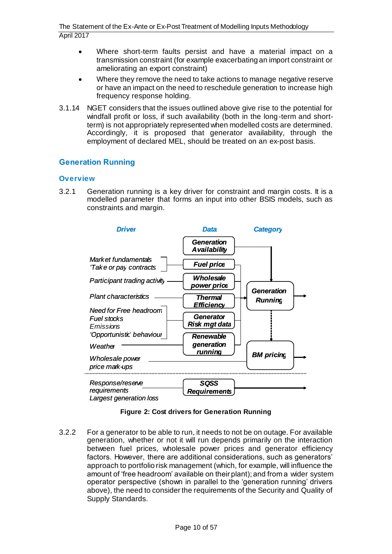- Where short-term faults persist and have a material impact on a transmission constraint (for example exacerbating an import constraint or ameliorating an export constraint)
- Where they remove the need to take actions to manage negative reserve or have an impact on the need to reschedule generation to increase high frequency response holding.
- 3.1.14 NGET considers that the issues outlined above give rise to the potential for windfall profit or loss, if such availability (both in the long-term and shortterm) is not appropriately represented when modelled costs are determined. Accordingly, it is proposed that generator availability, through the employment of declared MEL, should be treated on an ex-post basis.

# <span id="page-9-0"></span>**Generation Running**

#### <span id="page-9-1"></span>**Overview**

3.2.1 Generation running is a key driver for constraint and margin costs. It is a modelled parameter that forms an input into other BSIS models, such as constraints and margin.



**Figure 2: Cost drivers for Generation Running**

3.2.2 For a generator to be able to run, it needs to not be on outage. For available generation, whether or not it will run depends primarily on the interaction between fuel prices, wholesale power prices and generator efficiency factors. However, there are additional considerations, such as generators' approach to portfolio risk management (which, for example, will influence the amount of 'free headroom' available on their plant); and from a wider system operator perspective (shown in parallel to the 'generation running' drivers above), the need to consider the requirements of the Security and Quality of Supply Standards.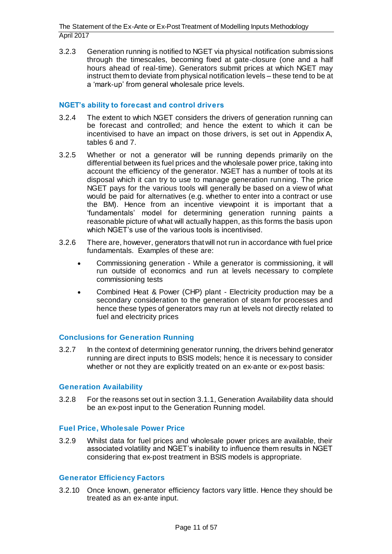3.2.3 Generation running is notified to NGET via physical notification submissions through the timescales, becoming fixed at gate-closure (one and a half hours ahead of real-time). Generators submit prices at which NGET may instruct them to deviate from physical notification levels – these tend to be at a 'mark-up' from general wholesale price levels.

#### <span id="page-10-0"></span>**NGET's ability to forecast and control drivers**

- 3.2.4 The extent to which NGET considers the drivers of generation running can be forecast and controlled; and hence the extent to which it can be incentivised to have an impact on those drivers, is set out in Appendix A, tables 6 and 7.
- 3.2.5 Whether or not a generator will be running depends primarily on the differential between its fuel prices and the wholesale power price, taking into account the efficiency of the generator. NGET has a number of tools at its disposal which it can try to use to manage generation running. The price NGET pays for the various tools will generally be based on a view of what would be paid for alternatives (e.g. whether to enter into a contract or use the BM). Hence from an incentive viewpoint it is important that a 'fundamentals' model for determining generation running paints a reasonable picture of what will actually happen, as this forms the basis upon which NGET's use of the various tools is incentivised.
- 3.2.6 There are, however, generators that will not run in accordance with fuel price fundamentals. Examples of these are:
	- Commissioning generation While a generator is commissioning, it will run outside of economics and run at levels necessary to complete commissioning tests
	- Combined Heat & Power (CHP) plant Electricity production may be a secondary consideration to the generation of steam for processes and hence these types of generators may run at levels not directly related to fuel and electricity prices

#### <span id="page-10-1"></span>**Conclusions for Generation Running**

3.2.7 In the context of determining generator running, the drivers behind generator running are direct inputs to BSIS models; hence it is necessary to consider whether or not they are explicitly treated on an ex-ante or ex-post basis:

#### <span id="page-10-2"></span>**Generation Availability**

3.2.8 For the reasons set out in section [3.1.1,](#page-6-3) Generation Availability data should be an ex-post input to the Generation Running model.

#### <span id="page-10-3"></span>**Fuel Price, Wholesale Power Price**

3.2.9 Whilst data for fuel prices and wholesale power prices are available, their associated volatility and NGET's inability to influence them results in NGET considering that ex-post treatment in BSIS models is appropriate.

#### <span id="page-10-4"></span>**Generator Efficiency Factors**

3.2.10 Once known, generator efficiency factors vary little. Hence they should be treated as an ex-ante input.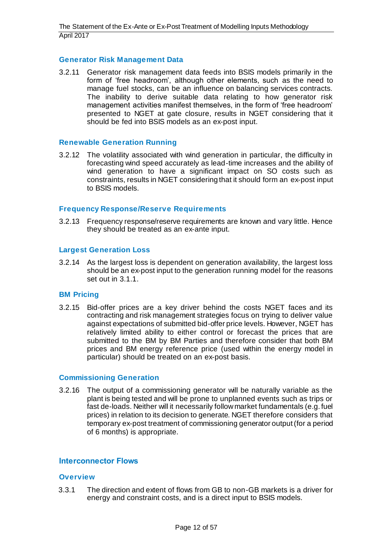#### <span id="page-11-0"></span>**Generator Risk Management Data**

3.2.11 Generator risk management data feeds into BSIS models primarily in the form of 'free headroom', although other elements, such as the need to manage fuel stocks, can be an influence on balancing services contracts. The inability to derive suitable data relating to how generator risk management activities manifest themselves, in the form of 'free headroom' presented to NGET at gate closure, results in NGET considering that it should be fed into BSIS models as an ex-post input.

#### <span id="page-11-1"></span>**Renewable Generation Running**

3.2.12 The volatility associated with wind generation in particular, the difficulty in forecasting wind speed accurately as lead-time increases and the ability of wind generation to have a significant impact on SO costs such as constraints, results in NGET considering that it should form an ex-post input to BSIS models.

#### <span id="page-11-2"></span>**Frequency Response/Reserve Requirements**

3.2.13 Frequency response/reserve requirements are known and vary little. Hence they should be treated as an ex-ante input.

#### <span id="page-11-3"></span>**Largest Generation Loss**

3.2.14 As the largest loss is dependent on generation availability, the largest loss should be an ex-post input to the generation running model for the reasons set out i[n 3.1.1](#page-6-3).

#### <span id="page-11-4"></span>**BM Pricing**

3.2.15 Bid-offer prices are a key driver behind the costs NGET faces and its contracting and risk management strategies focus on trying to deliver value against expectations of submitted bid-offer price levels. However, NGET has relatively limited ability to either control or forecast the prices that are submitted to the BM by BM Parties and therefore consider that both BM prices and BM energy reference price (used within the energy model in particular) should be treated on an ex-post basis.

#### <span id="page-11-5"></span>**Commissioning Generation**

3.2.16 The output of a commissioning generator will be naturally variable as the plant is being tested and will be prone to unplanned events such as trips or fast de-loads. Neither will it necessarily follow market fundamentals (e.g. fuel prices) in relation to its decision to generate. NGET therefore considers that temporary ex-post treatment of commissioning generator output (for a period of 6 months) is appropriate.

#### <span id="page-11-6"></span>**Interconnector Flows**

#### <span id="page-11-7"></span>**Overview**

3.3.1 The direction and extent of flows from GB to non-GB markets is a driver for energy and constraint costs, and is a direct input to BSIS models.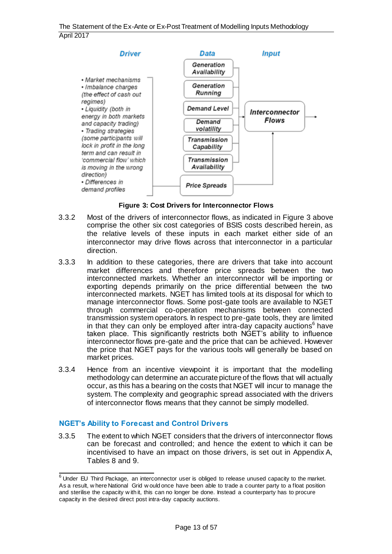

**Figure 3: Cost Drivers for Interconnector Flows**

- <span id="page-12-1"></span>3.3.2 Most of the drivers of interconnector flows, as indicated in [Figure 3](#page-12-1) above comprise the other six cost categories of BSIS costs described herein, as the relative levels of these inputs in each market either side of an interconnector may drive flows across that interconnector in a particular direction.
- 3.3.3 In addition to these categories, there are drivers that take into account market differences and therefore price spreads between the two interconnected markets. Whether an interconnector will be importing or exporting depends primarily on the price differential between the two interconnected markets. NGET has limited tools at its disposal for which to manage interconnector flows. Some post-gate tools are available to NGET through commercial co-operation mechanisms between connected transmission system operators. In respect to pre-gate tools, they are limited in that they can only be employed after intra-day capacity auctions<sup>6</sup> have taken place. This significantly restricts both NGET's ability to influence interconnector flows pre-gate and the price that can be achieved. However the price that NGET pays for the various tools will generally be based on market prices.
- 3.3.4 Hence from an incentive viewpoint it is important that the modelling methodology can determine an accurate picture of the flows that will actually occur, as this has a bearing on the costs that NGET will incur to manage the system. The complexity and geographic spread associated with the drivers of interconnector flows means that they cannot be simply modelled.

# <span id="page-12-0"></span>**NGET's Ability to Forecast and Control Drivers**

3.3.5 The extent to which NGET considers that the drivers of interconnector flows can be forecast and controlled; and hence the extent to which it can be incentivised to have an impact on those drivers, is set out in Appendix A, Tables 8 and 9.

<sup>&</sup>lt;sup>6</sup><br>Under EU Third Package, an interconnector user is obliged to release unused capacity to the market. As a result, w here National Grid w ould once have been able to trade a counter party to a float position and sterilise the capacity w ith it, this can no longer be done. Instead a counterparty has to procure capacity in the desired direct post intra-day capacity auctions.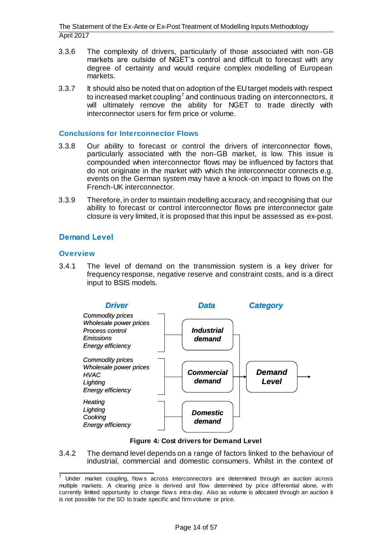- 3.3.6 The complexity of drivers, particularly of those associated with non-GB markets are outside of NGET's control and difficult to forecast with any degree of certainty and would require complex modelling of European markets.
- 3.3.7 It should also be noted that on adoption of the EU target models with respect to increased market coupling<sup>7</sup> and continuous trading on interconnectors, it will ultimately remove the ability for NGET to trade directly with interconnector users for firm price or volume.

#### <span id="page-13-0"></span>**Conclusions for Interconnector Flows**

- 3.3.8 Our ability to forecast or control the drivers of interconnector flows, particularly associated with the non-GB market, is low. This issue is compounded when interconnector flows may be influenced by factors that do not originate in the market with which the interconnector connects e.g. events on the German system may have a knock-on impact to flows on the French-UK interconnector.
- 3.3.9 Therefore, in order to maintain modelling accuracy, and recognising that our ability to forecast or control interconnector flows pre interconnector gate closure is very limited, it is proposed that this input be assessed as ex-post.

### <span id="page-13-1"></span>**Demand Level**

#### <span id="page-13-2"></span>**Overview**

3.4.1 The level of demand on the transmission system is a key driver for frequency response, negative reserve and constraint costs, and is a direct input to BSIS models.



#### **Figure 4: Cost drivers for Demand Level**

3.4.2 The demand level depends on a range of factors linked to the behaviour of industrial, commercial and domestic consumers. Whilst in the context of

<sup>7</sup> Under market coupling, flow s across interconnectors are determined through an auction across multiple markets. A clearing price is derived and flow determined by price differential alone, w ith currently limited opportunity to change flow s intra-day. Also as volume is allocated through an auction it is not possible for the SO to trade specific and firm volume or price.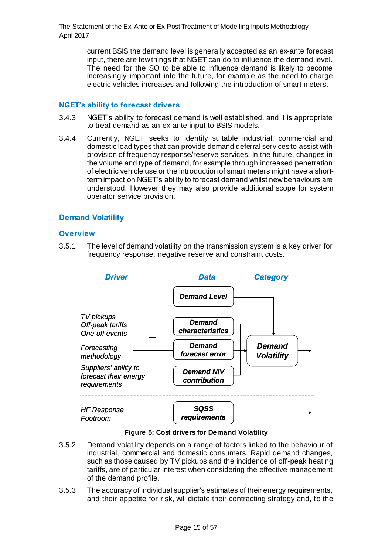current BSIS the demand level is generally accepted as an ex-ante forecast input, there are few things that NGET can do to influence the demand level. The need for the SO to be able to influence demand is likely to become increasingly important into the future, for example as the need to charge electric vehicles increases and following the introduction of smart meters.

#### <span id="page-14-0"></span>**NGET's ability to forecast drivers**

- 3.4.3 NGET's ability to forecast demand is well established, and it is appropriate to treat demand as an ex-ante input to BSIS models.
- 3.4.4 Currently, NGET seeks to identify suitable industrial, commercial and domestic load types that can provide demand deferral services to assist with provision of frequency response/reserve services. In the future, changes in the volume and type of demand, for example through increased penetration of electric vehicle use or the introduction of smart meters might have a shortterm impact on NGET's ability to forecast demand whilst new behaviours are understood. However they may also provide additional scope for system operator service provision.

# <span id="page-14-1"></span>**Demand Volatility**

#### <span id="page-14-2"></span>**Overview**

3.5.1 The level of demand volatility on the transmission system is a key driver for frequency response, negative reserve and constraint costs.



**Figure 5: Cost drivers for Demand Volatility**

- 3.5.2 Demand volatility depends on a range of factors linked to the behaviour of industrial, commercial and domestic consumers. Rapid demand changes, such as those caused by TV pickups and the incidence of off-peak heating tariffs, are of particular interest when considering the effective management of the demand profile.
- 3.5.3 The accuracy of individual supplier's estimates of their energy requirements, and their appetite for risk, will dictate their contracting strategy and, to the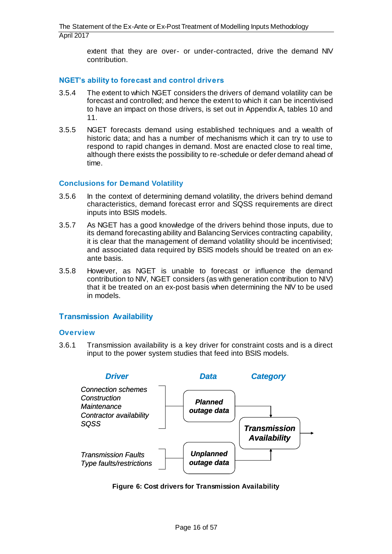extent that they are over- or under-contracted, drive the demand NIV contribution.

#### <span id="page-15-0"></span>**NGET's ability to forecast and control drivers**

- 3.5.4 The extent to which NGET considers the drivers of demand volatility can be forecast and controlled; and hence the extent to which it can be incentivised to have an impact on those drivers, is set out in Appendix A, tables 10 and 11.
- 3.5.5 NGET forecasts demand using established techniques and a wealth of historic data; and has a number of mechanisms which it can try to use to respond to rapid changes in demand. Most are enacted close to real time, although there exists the possibility to re-schedule or defer demand ahead of time.

#### <span id="page-15-1"></span>**Conclusions for Demand Volatility**

- 3.5.6 In the context of determining demand volatility, the drivers behind demand characteristics, demand forecast error and SQSS requirements are direct inputs into BSIS models.
- 3.5.7 As NGET has a good knowledge of the drivers behind those inputs, due to its demand forecasting ability and Balancing Services contracting capability, it is clear that the management of demand volatility should be incentivised; and associated data required by BSIS models should be treated on an exante basis.
- 3.5.8 However, as NGET is unable to forecast or influence the demand contribution to NIV, NGET considers (as with generation contribution to NIV) that it be treated on an ex-post basis when determining the NIV to be used in models.

#### <span id="page-15-2"></span>**Transmission Availability**

#### <span id="page-15-3"></span>**Overview**

3.6.1 Transmission availability is a key driver for constraint costs and is a direct input to the power system studies that feed into BSIS models.



**Figure 6: Cost drivers for Transmission Availability**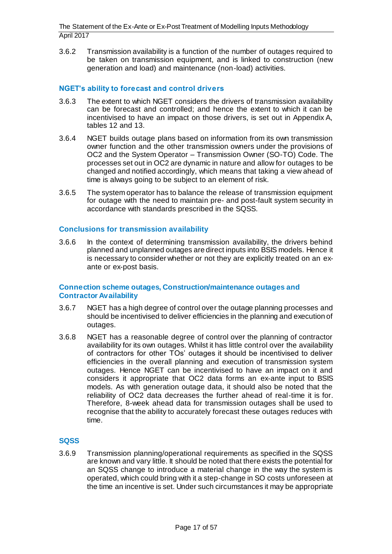3.6.2 Transmission availability is a function of the number of outages required to be taken on transmission equipment, and is linked to construction (new generation and load) and maintenance (non-load) activities.

### <span id="page-16-0"></span>**NGET's ability to forecast and control drivers**

- 3.6.3 The extent to which NGET considers the drivers of transmission availability can be forecast and controlled; and hence the extent to which it can be incentivised to have an impact on those drivers, is set out in Appendix A, tables 12 and 13.
- 3.6.4 NGET builds outage plans based on information from its own transmission owner function and the other transmission owners under the provisions of OC2 and the System Operator – Transmission Owner (SO-TO) Code. The processes set out in OC2 are dynamic in nature and allow for outages to be changed and notified accordingly, which means that taking a view ahead of time is always going to be subject to an element of risk.
- 3.6.5 The system operator has to balance the release of transmission equipment for outage with the need to maintain pre- and post-fault system security in accordance with standards prescribed in the SQSS.

#### <span id="page-16-1"></span>**Conclusions for transmission availability**

3.6.6 In the context of determining transmission availability, the drivers behind planned and unplanned outages are direct inputs into BSIS models. Hence it is necessary to consider whether or not they are explicitly treated on an exante or ex-post basis.

#### <span id="page-16-2"></span>**Connection scheme outages, Construction/maintenance outages and Contractor Availability**

- 3.6.7 NGET has a high degree of control over the outage planning processes and should be incentivised to deliver efficiencies in the planning and execution of outages.
- 3.6.8 NGET has a reasonable degree of control over the planning of contractor availability for its own outages. Whilst it has little control over the availability of contractors for other TOs' outages it should be incentivised to deliver efficiencies in the overall planning and execution of transmission system outages. Hence NGET can be incentivised to have an impact on it and considers it appropriate that OC2 data forms an ex-ante input to BSIS models. As with generation outage data, it should also be noted that the reliability of OC2 data decreases the further ahead of real-time it is for. Therefore, 8-week ahead data for transmission outages shall be used to recognise that the ability to accurately forecast these outages reduces with time.

#### <span id="page-16-3"></span>**SQSS**

3.6.9 Transmission planning/operational requirements as specified in the SQSS are known and vary little. It should be noted that there exists the potential for an SQSS change to introduce a material change in the way the system is operated, which could bring with it a step-change in SO costs unforeseen at the time an incentive is set. Under such circumstances it may be appropriate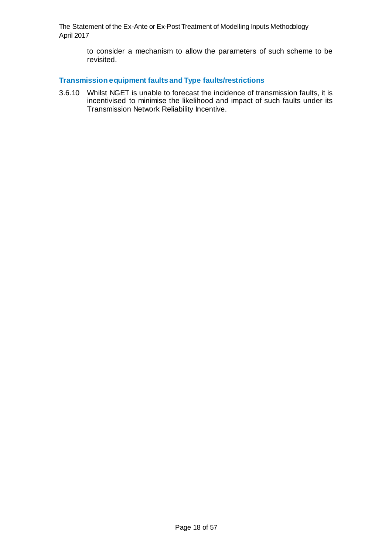to consider a mechanism to allow the parameters of such scheme to be revisited.

#### <span id="page-17-0"></span>**Transmission equipment faults and Type faults/restrictions**

3.6.10 Whilst NGET is unable to forecast the incidence of transmission faults, it is incentivised to minimise the likelihood and impact of such faults under its Transmission Network Reliability Incentive.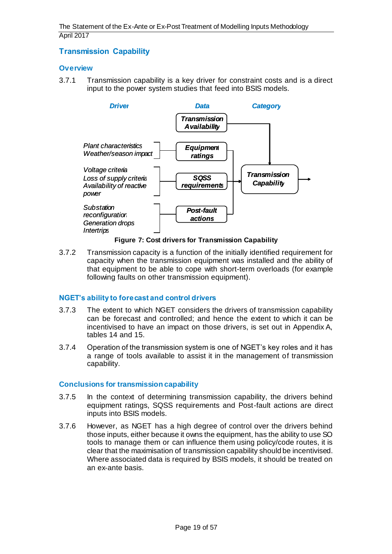# <span id="page-18-0"></span>**Transmission Capability**

#### <span id="page-18-1"></span>**Overview**

3.7.1 Transmission capability is a key driver for constraint costs and is a direct input to the power system studies that feed into BSIS models.



#### **Figure 7: Cost drivers for Transmission Capability**

3.7.2 Transmission capacity is a function of the initially identified requirement for capacity when the transmission equipment was installed and the ability of that equipment to be able to cope with short-term overloads (for example following faults on other transmission equipment).

#### <span id="page-18-2"></span>**NGET's ability to forecast and control drivers**

- 3.7.3 The extent to which NGET considers the drivers of transmission capability can be forecast and controlled; and hence the extent to which it can be incentivised to have an impact on those drivers, is set out in Appendix A, tables 14 and 15.
- 3.7.4 Operation of the transmission system is one of NGET's key roles and it has a range of tools available to assist it in the management of transmission capability.

#### <span id="page-18-3"></span>**Conclusions for transmission capability**

- 3.7.5 In the context of determining transmission capability, the drivers behind equipment ratings, SQSS requirements and Post-fault actions are direct inputs into BSIS models.
- 3.7.6 However, as NGET has a high degree of control over the drivers behind those inputs, either because it owns the equipment, has the ability to use SO tools to manage them or can influence them using policy/code routes, it is clear that the maximisation of transmission capability should be incentivised. Where associated data is required by BSIS models, it should be treated on an ex-ante basis.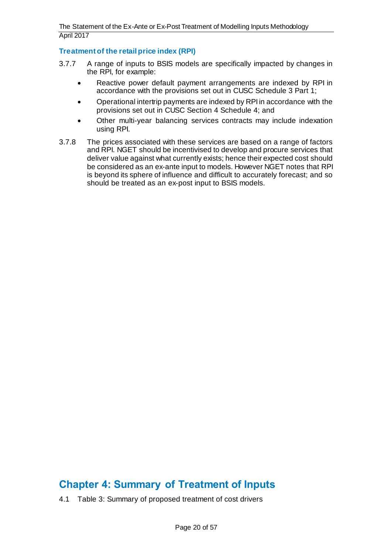### <span id="page-19-0"></span>**Treatment of the retail price index (RPI)**

- 3.7.7 A range of inputs to BSIS models are specifically impacted by changes in the RPI, for example:
	- Reactive power default payment arrangements are indexed by RPI in accordance with the provisions set out in CUSC Schedule 3 Part 1;
	- Operational intertrip payments are indexed by RPI in accordance with the provisions set out in CUSC Section 4 Schedule 4; and
	- Other multi-year balancing services contracts may include indexation using RPI.
- 3.7.8 The prices associated with these services are based on a range of factors and RPI. NGET should be incentivised to develop and procure services that deliver value against what currently exists; hence their expected cost should be considered as an ex-ante input to models. However NGET notes that RPI is beyond its sphere of influence and difficult to accurately forecast; and so should be treated as an ex-post input to BSIS models.

# <span id="page-19-1"></span>**Chapter 4: Summary of Treatment of Inputs**

4.1 [Table 3: Summary of proposed treatment of cost drivers](#page-20-0)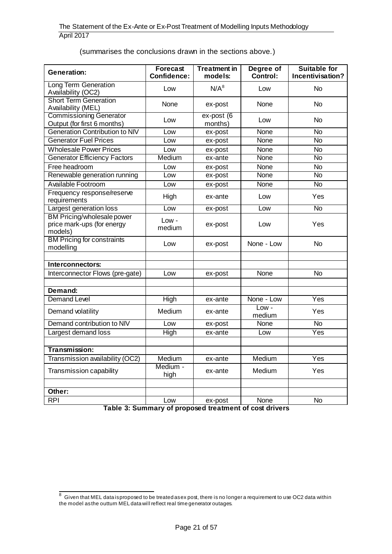(summarises the conclusions drawn in the sections above.)

| <b>Generation:</b>                                                  | <b>Forecast</b><br>Confidence: | <b>Treatment in</b><br>models: | Degree of<br>Control: | <b>Suitable for</b><br>Incentivisation? |
|---------------------------------------------------------------------|--------------------------------|--------------------------------|-----------------------|-----------------------------------------|
| <b>Long Term Generation</b><br>Availability (OC2)                   | Low                            | $N/A^8$                        | Low                   | <b>No</b>                               |
| <b>Short Term Generation</b><br>Availability (MEL)                  | None                           | ex-post                        | None                  | <b>No</b>                               |
| <b>Commissioning Generator</b><br>Output (for first 6 months)       | Low                            | $ex$ -post $(6)$<br>months)    | Low                   | <b>No</b>                               |
| Generation Contribution to NIV                                      | Low                            | ex-post                        | None                  | <b>No</b>                               |
| <b>Generator Fuel Prices</b>                                        | Low                            | ex-post                        | <b>None</b>           | <b>No</b>                               |
| <b>Wholesale Power Prices</b>                                       | Low                            | ex-post                        | None                  | $\overline{N}$                          |
| <b>Generator Efficiency Factors</b>                                 | Medium                         | ex-ante                        | None                  | <b>No</b>                               |
| Free headroom                                                       | Low                            | ex-post                        | None                  | <b>No</b>                               |
| Renewable generation running                                        | Low                            | ex-post                        | <b>None</b>           | <b>No</b>                               |
| Available Footroom                                                  | Low                            | ex-post                        | None                  | <b>No</b>                               |
| Frequency response/reserve<br>requirements                          | High                           | ex-ante                        | Low                   | Yes                                     |
| Largest generation loss                                             | Low                            | ex-post                        | Low                   | <b>No</b>                               |
| BM Pricing/wholesale power<br>price mark-ups (for energy<br>models) | Low -<br>medium                | ex-post                        | Low                   | Yes                                     |
| <b>BM Pricing for constraints</b><br>modelling                      | Low                            | ex-post                        | None - Low            | <b>No</b>                               |
|                                                                     |                                |                                |                       |                                         |
| Interconnectors:                                                    |                                |                                |                       |                                         |
| Interconnector Flows (pre-gate)                                     | Low                            | ex-post                        | None                  | <b>No</b>                               |
|                                                                     |                                |                                |                       |                                         |
| Demand:                                                             |                                |                                |                       |                                         |
| <b>Demand Level</b>                                                 | High                           | ex-ante                        | None - Low            | Yes                                     |
| Demand volatility                                                   | Medium                         | ex-ante                        | $Low -$<br>medium     | Yes                                     |
| Demand contribution to NIV                                          | Low                            | ex-post                        | None                  | <b>No</b>                               |
| Largest demand loss                                                 | <b>High</b>                    | ex-ante                        | Low                   | Yes                                     |
|                                                                     |                                |                                |                       |                                         |
| Transmission:                                                       |                                |                                |                       |                                         |
| Transmission availability (OC2)                                     | Medium                         | ex-ante                        | Medium                | Yes                                     |
| Transmission capability                                             | Medium -<br>high               | ex-ante                        | Medium                | Yes                                     |
|                                                                     |                                |                                |                       |                                         |
| Other:                                                              |                                |                                |                       |                                         |
| <b>RPI</b>                                                          | Low                            | ex-post                        | None                  | <b>No</b>                               |

<span id="page-20-0"></span>**Table 3: Summary of proposed treatment of cost drivers**

 8 Given that MEL data is proposed to be treated as ex post, there is no longer a requirement to use OC2 data within the model as the outturn MEL data will reflect real time generator outages.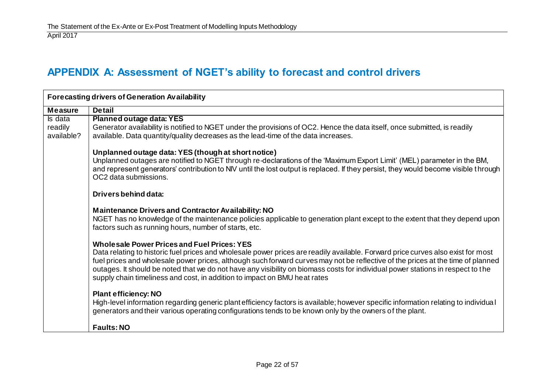# **APPENDIX A: Assessment of NGET's ability to forecast and control drivers**

<span id="page-21-0"></span>

| <b>Forecasting drivers of Generation Availability</b> |                                                                                                                                                                                                                                                                                                                                                                                                                                                                                                                                           |  |  |
|-------------------------------------------------------|-------------------------------------------------------------------------------------------------------------------------------------------------------------------------------------------------------------------------------------------------------------------------------------------------------------------------------------------------------------------------------------------------------------------------------------------------------------------------------------------------------------------------------------------|--|--|
| <b>Measure</b>                                        | <b>Detail</b>                                                                                                                                                                                                                                                                                                                                                                                                                                                                                                                             |  |  |
| Is data                                               | <b>Planned outage data: YES</b>                                                                                                                                                                                                                                                                                                                                                                                                                                                                                                           |  |  |
| readily<br>available?                                 | Generator availability is notified to NGET under the provisions of OC2. Hence the data itself, once submitted, is readily<br>available. Data quantity/quality decreases as the lead-time of the data increases.                                                                                                                                                                                                                                                                                                                           |  |  |
|                                                       | Unplanned outage data: YES (though at short notice)<br>Unplanned outages are notified to NGET through re-declarations of the 'Maximum Export Limit' (MEL) parameter in the BM,<br>and represent generators' contribution to NIV until the lost output is replaced. If they persist, they would become visible through<br>OC2 data submissions.                                                                                                                                                                                            |  |  |
|                                                       | Drivers behind data:                                                                                                                                                                                                                                                                                                                                                                                                                                                                                                                      |  |  |
|                                                       | <b>Maintenance Drivers and Contractor Availability: NO</b><br>NGET has no knowledge of the maintenance policies applicable to generation plant except to the extent that they depend upon<br>factors such as running hours, number of starts, etc.                                                                                                                                                                                                                                                                                        |  |  |
|                                                       | <b>Wholesale Power Prices and Fuel Prices: YES</b><br>Data relating to historic fuel prices and wholesale power prices are readily available. Forward price curves also exist for most<br>fuel prices and wholesale power prices, although such forward curves may not be reflective of the prices at the time of planned<br>outages. It should be noted that we do not have any visibility on biomass costs for individual power stations in respect to the<br>supply chain timeliness and cost, in addition to impact on BMU heat rates |  |  |
|                                                       | <b>Plant efficiency: NO</b><br>High-level information regarding generic plant efficiency factors is available; however specific information relating to individual<br>generators and their various operating configurations tends to be known only by the owners of the plant.                                                                                                                                                                                                                                                            |  |  |
|                                                       | <b>Faults: NO</b>                                                                                                                                                                                                                                                                                                                                                                                                                                                                                                                         |  |  |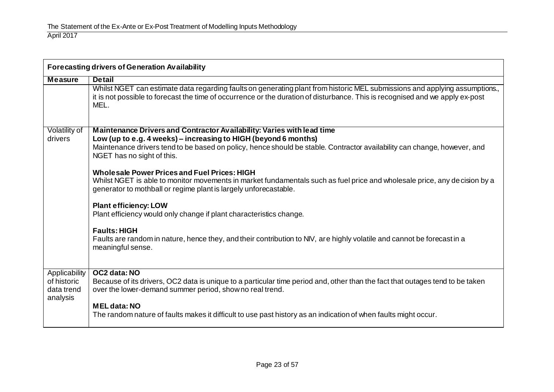|                                                        | <b>Forecasting drivers of Generation Availability</b>                                                                                                                                                                                                                                               |  |  |  |
|--------------------------------------------------------|-----------------------------------------------------------------------------------------------------------------------------------------------------------------------------------------------------------------------------------------------------------------------------------------------------|--|--|--|
| <b>Measure</b>                                         | <b>Detail</b>                                                                                                                                                                                                                                                                                       |  |  |  |
|                                                        | Whilst NGET can estimate data regarding faults on generating plant from historic MEL submissions and applying assumptions.,<br>it is not possible to forecast the time of occurrence or the duration of disturbance. This is recognised and we apply ex-post<br>MEL.                                |  |  |  |
| Volatility of<br>drivers                               | Maintenance Drivers and Contractor Availability: Varies with lead time<br>Low (up to e.g. 4 weeks) - increasing to HIGH (beyond 6 months)<br>Maintenance drivers tend to be based on policy, hence should be stable. Contractor availability can change, however, and<br>NGET has no sight of this. |  |  |  |
|                                                        | <b>Wholesale Power Prices and Fuel Prices: HIGH</b><br>Whilst NGET is able to monitor movements in market fundamentals such as fuel price and wholesale price, any decision by a<br>generator to mothball or regime plant is largely unforecastable.                                                |  |  |  |
|                                                        | <b>Plant efficiency: LOW</b><br>Plant efficiency would only change if plant characteristics change.                                                                                                                                                                                                 |  |  |  |
|                                                        | <b>Faults: HIGH</b><br>Faults are random in nature, hence they, and their contribution to NIV, are highly volatile and cannot be forecast in a<br>meaningful sense.                                                                                                                                 |  |  |  |
| Applicability<br>of historic<br>data trend<br>analysis | OC2 data: NO<br>Because of its drivers, OC2 data is unique to a particular time period and, other than the fact that outages tend to be taken<br>over the lower-demand summer period, show no real trend.                                                                                           |  |  |  |
|                                                        | <b>MEL data: NO</b><br>The random nature of faults makes it difficult to use past history as an indication of when faults might occur.                                                                                                                                                              |  |  |  |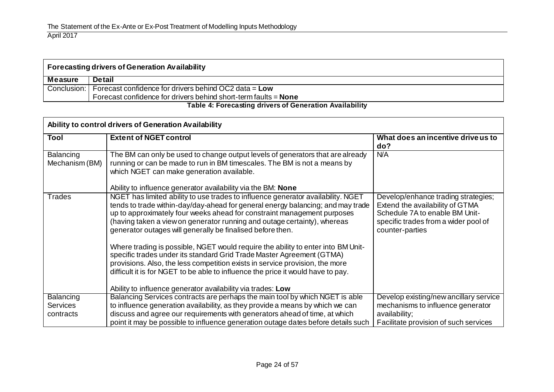| <b>Forecasting drivers of Generation Availability</b>             |                                                                                  |  |
|-------------------------------------------------------------------|----------------------------------------------------------------------------------|--|
| <b>Measure</b>                                                    | <b>Detail</b>                                                                    |  |
|                                                                   | Conclusion: $\blacksquare$ Forecast confidence for drivers behind OC2 data = Low |  |
| Forecast confidence for drivers behind short-term faults = $None$ |                                                                                  |  |
| Toble 4: Esseconting drivers of Concration Availability           |                                                                                  |  |

#### **Table 4: Forecasting drivers of Generation Availability**

| Ability to control drivers of Generation Availability |                                                                                                                                                                                                                                                                                                                                                                                                                                                                                                                                                                                                                                                                                                                                                                                          |                                                                                                                                                                     |  |
|-------------------------------------------------------|------------------------------------------------------------------------------------------------------------------------------------------------------------------------------------------------------------------------------------------------------------------------------------------------------------------------------------------------------------------------------------------------------------------------------------------------------------------------------------------------------------------------------------------------------------------------------------------------------------------------------------------------------------------------------------------------------------------------------------------------------------------------------------------|---------------------------------------------------------------------------------------------------------------------------------------------------------------------|--|
| Tool                                                  | <b>Extent of NGET control</b>                                                                                                                                                                                                                                                                                                                                                                                                                                                                                                                                                                                                                                                                                                                                                            | What does an incentive drive us to<br>do?                                                                                                                           |  |
| <b>Balancing</b><br>Mechanism (BM)                    | The BM can only be used to change output levels of generators that are already<br>running or can be made to run in BM timescales. The BM is not a means by<br>which NGET can make generation available.<br>Ability to influence generator availability via the BM: None                                                                                                                                                                                                                                                                                                                                                                                                                                                                                                                  | <b>N/A</b>                                                                                                                                                          |  |
| <b>Trades</b>                                         | NGET has limited ability to use trades to influence generator availability. NGET<br>tends to trade within-day/day-ahead for general energy balancing; and may trade<br>up to approximately four weeks ahead for constraint management purposes<br>(having taken a view on generator running and outage certainty), whereas<br>generator outages will generally be finalised before then.<br>Where trading is possible, NGET would require the ability to enter into BM Unit-<br>specific trades under its standard Grid Trade Master Agreement (GTMA)<br>provisions. Also, the less competition exists in service provision, the more<br>difficult it is for NGET to be able to influence the price it would have to pay.<br>Ability to influence generator availability via trades: Low | Develop/enhance trading strategies;<br>Extend the availability of GTMA<br>Schedule 7A to enable BM Unit-<br>specific trades from a wider pool of<br>counter-parties |  |
| <b>Balancing</b>                                      | Balancing Services contracts are perhaps the main tool by which NGET is able                                                                                                                                                                                                                                                                                                                                                                                                                                                                                                                                                                                                                                                                                                             | Develop existing/new ancillary service                                                                                                                              |  |
| <b>Services</b>                                       | to influence generation availability, as they provide a means by which we can                                                                                                                                                                                                                                                                                                                                                                                                                                                                                                                                                                                                                                                                                                            | mechanisms to influence generator                                                                                                                                   |  |
| contracts                                             | discuss and agree our requirements with generators ahead of time, at which<br>point it may be possible to influence generation outage dates before details such                                                                                                                                                                                                                                                                                                                                                                                                                                                                                                                                                                                                                          | availability;<br>Facilitate provision of such services                                                                                                              |  |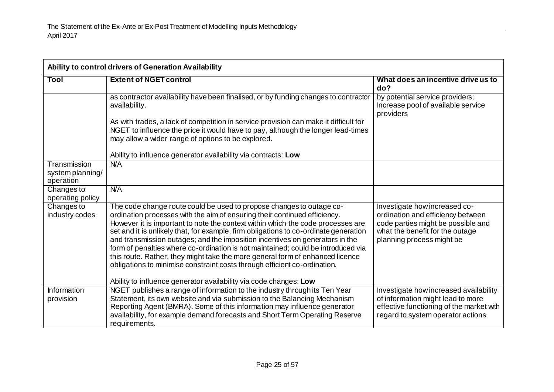| Ability to control drivers of Generation Availability |                                                                                                                                                                                                                                                                                                                                                                                                                                                                                                                                                                                                                                                                                                                                     |                                                                                                                                                                          |  |
|-------------------------------------------------------|-------------------------------------------------------------------------------------------------------------------------------------------------------------------------------------------------------------------------------------------------------------------------------------------------------------------------------------------------------------------------------------------------------------------------------------------------------------------------------------------------------------------------------------------------------------------------------------------------------------------------------------------------------------------------------------------------------------------------------------|--------------------------------------------------------------------------------------------------------------------------------------------------------------------------|--|
| Tool                                                  | <b>Extent of NGET control</b>                                                                                                                                                                                                                                                                                                                                                                                                                                                                                                                                                                                                                                                                                                       | What does an incentive drive us to<br>do?                                                                                                                                |  |
|                                                       | as contractor availability have been finalised, or by funding changes to contractor<br>availability.                                                                                                                                                                                                                                                                                                                                                                                                                                                                                                                                                                                                                                | by potential service providers;<br>Increase pool of available service<br>providers                                                                                       |  |
|                                                       | As with trades, a lack of competition in service provision can make it difficult for<br>NGET to influence the price it would have to pay, although the longer lead-times<br>may allow a wider range of options to be explored.                                                                                                                                                                                                                                                                                                                                                                                                                                                                                                      |                                                                                                                                                                          |  |
|                                                       | Ability to influence generator availability via contracts: Low                                                                                                                                                                                                                                                                                                                                                                                                                                                                                                                                                                                                                                                                      |                                                                                                                                                                          |  |
| Transmission<br>system planning/<br>operation         | N/A                                                                                                                                                                                                                                                                                                                                                                                                                                                                                                                                                                                                                                                                                                                                 |                                                                                                                                                                          |  |
| Changes to<br>operating policy                        | <b>N/A</b>                                                                                                                                                                                                                                                                                                                                                                                                                                                                                                                                                                                                                                                                                                                          |                                                                                                                                                                          |  |
| Changes to<br>industry codes                          | The code change route could be used to propose changes to outage co-<br>ordination processes with the aim of ensuring their continued efficiency.<br>However it is important to note the context within which the code processes are<br>set and it is unlikely that, for example, firm obligations to co-ordinate generation<br>and transmission outages; and the imposition incentives on generators in the<br>form of penalties where co-ordination is not maintained; could be introduced via<br>this route. Rather, they might take the more general form of enhanced licence<br>obligations to minimise constraint costs through efficient co-ordination.<br>Ability to influence generator availability via code changes: Low | Investigate how increased co-<br>ordination and efficiency between<br>code parties might be possible and<br>what the benefit for the outage<br>planning process might be |  |
| Information<br>provision                              | NGET publishes a range of information to the industry through its Ten Year<br>Statement, its own website and via submission to the Balancing Mechanism<br>Reporting Agent (BMRA). Some of this information may influence generator<br>availability, for example demand forecasts and Short Term Operating Reserve<br>requirements.                                                                                                                                                                                                                                                                                                                                                                                                  | Investigate how increased availability<br>of information might lead to more<br>effective functioning of the market with<br>regard to system operator actions             |  |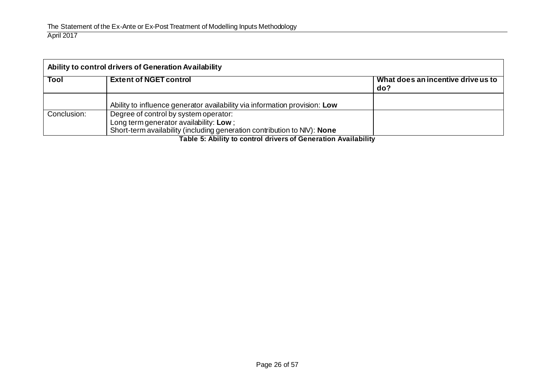| Ability to control drivers of Generation Availability |                                                                                                                                                             |                                           |
|-------------------------------------------------------|-------------------------------------------------------------------------------------------------------------------------------------------------------------|-------------------------------------------|
| <b>Tool</b>                                           | <b>Extent of NGET control</b>                                                                                                                               | What does an incentive drive us to<br>do? |
|                                                       | Ability to influence generator availability via information provision: Low                                                                                  |                                           |
| Conclusion:                                           | Degree of control by system operator:<br>Long term generator availability: Low;<br>Short-term availability (including generation contribution to NIV): None |                                           |

**Table 5: Ability to control drivers of Generation Availability**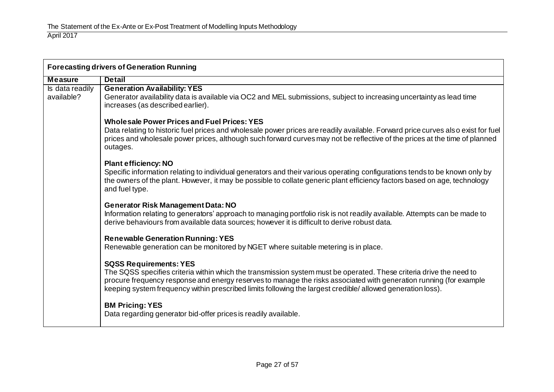| <b>Forecasting drivers of Generation Running</b> |                                                                                                                                                                                                                                                                                                                                                                                          |  |
|--------------------------------------------------|------------------------------------------------------------------------------------------------------------------------------------------------------------------------------------------------------------------------------------------------------------------------------------------------------------------------------------------------------------------------------------------|--|
| <b>Measure</b>                                   | <b>Detail</b>                                                                                                                                                                                                                                                                                                                                                                            |  |
| Is data readily<br>available?                    | <b>Generation Availability: YES</b><br>Generator availability data is available via OC2 and MEL submissions, subject to increasing uncertainty as lead time<br>increases (as described earlier).                                                                                                                                                                                         |  |
|                                                  | <b>Wholesale Power Prices and Fuel Prices: YES</b><br>Data relating to historic fuel prices and wholesale power prices are readily available. Forward price curves also exist for fuel<br>prices and wholesale power prices, although such forward curves may not be reflective of the prices at the time of planned<br>outages.                                                         |  |
|                                                  | <b>Plant efficiency: NO</b><br>Specific information relating to individual generators and their various operating configurations tends to be known only by<br>the owners of the plant. However, it may be possible to collate generic plant efficiency factors based on age, technology<br>and fuel type.                                                                                |  |
|                                                  | <b>Generator Risk Management Data: NO</b><br>Information relating to generators' approach to managing portfolio risk is not readily available. Attempts can be made to<br>derive behaviours from available data sources; however it is difficult to derive robust data.                                                                                                                  |  |
|                                                  | <b>Renewable Generation Running: YES</b><br>Renewable generation can be monitored by NGET where suitable metering is in place.                                                                                                                                                                                                                                                           |  |
|                                                  | <b>SQSS Requirements: YES</b><br>The SQSS specifies criteria within which the transmission system must be operated. These criteria drive the need to<br>procure frequency response and energy reserves to manage the risks associated with generation running (for example<br>keeping system frequency within prescribed limits following the largest credible/allowed generation loss). |  |
|                                                  | <b>BM Pricing: YES</b><br>Data regarding generator bid-offer prices is readily available.                                                                                                                                                                                                                                                                                                |  |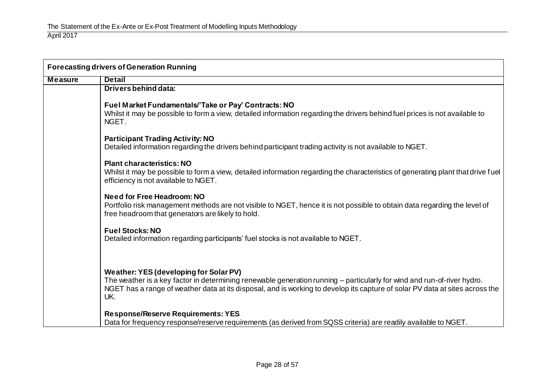| <b>Forecasting drivers of Generation Running</b> |                                                                                                                                                                                                                                                                                                          |  |
|--------------------------------------------------|----------------------------------------------------------------------------------------------------------------------------------------------------------------------------------------------------------------------------------------------------------------------------------------------------------|--|
| <b>Measure</b>                                   | <b>Detail</b>                                                                                                                                                                                                                                                                                            |  |
|                                                  | Drivers behind data:                                                                                                                                                                                                                                                                                     |  |
|                                                  | Fuel Market Fundamentals/'Take or Pay' Contracts: NO<br>Whilst it may be possible to form a view, detailed information regarding the drivers behind fuel prices is not available to<br>NGET.                                                                                                             |  |
|                                                  | <b>Participant Trading Activity: NO</b><br>Detailed information regarding the drivers behind participant trading activity is not available to NGET.                                                                                                                                                      |  |
|                                                  | <b>Plant characteristics: NO</b><br>Whilst it may be possible to form a view, detailed information regarding the characteristics of generating plant that drive fuel<br>efficiency is not available to NGET.                                                                                             |  |
|                                                  | <b>Need for Free Headroom: NO</b><br>Portfolio risk management methods are not visible to NGET, hence it is not possible to obtain data regarding the level of<br>free headroom that generators are likely to hold.                                                                                      |  |
|                                                  | <b>Fuel Stocks: NO</b><br>Detailed information regarding participants' fuel stocks is not available to NGET.                                                                                                                                                                                             |  |
|                                                  | Weather: YES (developing for Solar PV)<br>The weather is a key factor in determining renewable generation running - particularly for wind and run-of-river hydro.<br>NGET has a range of weather data at its disposal, and is working to develop its capture of solar PV data at sites across the<br>UK. |  |
|                                                  | <b>Response/Reserve Requirements: YES</b><br>Data for frequency response/reserve requirements (as derived from SQSS criteria) are readily available to NGET.                                                                                                                                             |  |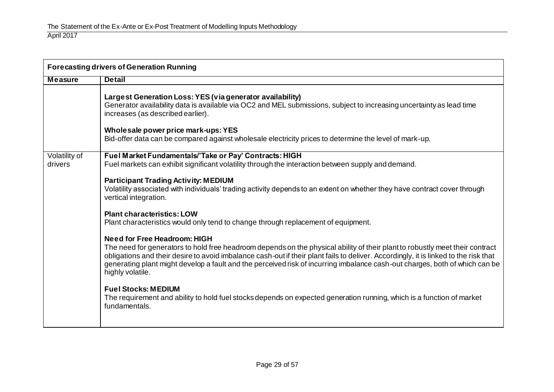| <b>Forecasting drivers of Generation Running</b> |                                                                                                                                                                                                                                                                                                                                                                                                                                                                |  |
|--------------------------------------------------|----------------------------------------------------------------------------------------------------------------------------------------------------------------------------------------------------------------------------------------------------------------------------------------------------------------------------------------------------------------------------------------------------------------------------------------------------------------|--|
| <b>Measure</b>                                   | <b>Detail</b>                                                                                                                                                                                                                                                                                                                                                                                                                                                  |  |
|                                                  | Largest Generation Loss: YES (via generator availability)<br>Generator availability data is available via OC2 and MEL submissions, subject to increasing uncertainty as lead time<br>increases (as described earlier).                                                                                                                                                                                                                                         |  |
|                                                  | Wholesale power price mark-ups: YES<br>Bid-offer data can be compared against wholesale electricity prices to determine the level of mark-up.                                                                                                                                                                                                                                                                                                                  |  |
| Volatility of<br>drivers                         | Fuel Market Fundamentals/'Take or Pay' Contracts: HIGH<br>Fuel markets can exhibit significant volatility through the interaction between supply and demand.                                                                                                                                                                                                                                                                                                   |  |
|                                                  | <b>Participant Trading Activity: MEDIUM</b><br>Volatility associated with individuals' trading activity depends to an extent on whether they have contract cover through<br>vertical integration.                                                                                                                                                                                                                                                              |  |
|                                                  | <b>Plant characteristics: LOW</b><br>Plant characteristics would only tend to change through replacement of equipment.                                                                                                                                                                                                                                                                                                                                         |  |
|                                                  | <b>Need for Free Headroom: HIGH</b><br>The need for generators to hold free headroom depends on the physical ability of their plant to robustly meet their contract<br>obligations and their desire to avoid imbalance cash-out if their plant fails to deliver. Accordingly, it is linked to the risk that<br>generating plant might develop a fault and the perceived risk of incurring imbalance cash-out charges, both of which can be<br>highly volatile. |  |
|                                                  | <b>Fuel Stocks: MEDIUM</b><br>The requirement and ability to hold fuel stocks depends on expected generation running, which is a function of market<br>fundamentals.                                                                                                                                                                                                                                                                                           |  |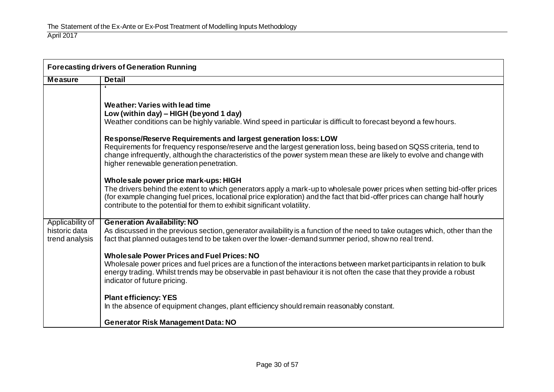| <b>Forecasting drivers of Generation Running</b>    |                                                                                                                                                                                                                                                                                                                                                                            |  |
|-----------------------------------------------------|----------------------------------------------------------------------------------------------------------------------------------------------------------------------------------------------------------------------------------------------------------------------------------------------------------------------------------------------------------------------------|--|
| <b>Measure</b>                                      | <b>Detail</b>                                                                                                                                                                                                                                                                                                                                                              |  |
|                                                     | 6.<br>Weather: Varies with lead time<br>Low (within day) - HIGH (beyond 1 day)<br>Weather conditions can be highly variable. Wind speed in particular is difficult to forecast beyond a few hours.                                                                                                                                                                         |  |
|                                                     | Response/Reserve Requirements and largest generation loss: LOW<br>Requirements for frequency response/reserve and the largest generation loss, being based on SQSS criteria, tend to<br>change infrequently, although the characteristics of the power system mean these are likely to evolve and change with<br>higher renewable generation penetration.                  |  |
|                                                     | Wholesale power price mark-ups: HIGH<br>The drivers behind the extent to which generators apply a mark-up to wholesale power prices when setting bid-offer prices<br>(for example changing fuel prices, locational price exploration) and the fact that bid-offer prices can change half hourly<br>contribute to the potential for them to exhibit significant volatility. |  |
| Applicability of<br>historic data<br>trend analysis | <b>Generation Availability: NO</b><br>As discussed in the previous section, generator availability is a function of the need to take outages which, other than the<br>fact that planned outages tend to be taken over the lower-demand summer period, show no real trend.                                                                                                  |  |
|                                                     | <b>Wholesale Power Prices and Fuel Prices: NO</b><br>Wholesale power prices and fuel prices are a function of the interactions between market participants in relation to bulk<br>energy trading. Whilst trends may be observable in past behaviour it is not often the case that they provide a robust<br>indicator of future pricing.                                    |  |
|                                                     | <b>Plant efficiency: YES</b><br>In the absence of equipment changes, plant efficiency should remain reasonably constant.                                                                                                                                                                                                                                                   |  |
|                                                     | <b>Generator Risk Management Data: NO</b>                                                                                                                                                                                                                                                                                                                                  |  |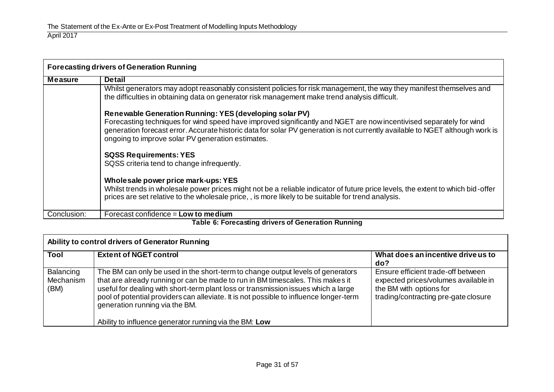| <b>Forecasting drivers of Generation Running</b>   |                                                                                                                                                                                                                                                                                                                                                                      |  |
|----------------------------------------------------|----------------------------------------------------------------------------------------------------------------------------------------------------------------------------------------------------------------------------------------------------------------------------------------------------------------------------------------------------------------------|--|
| <b>Measure</b>                                     | <b>Detail</b>                                                                                                                                                                                                                                                                                                                                                        |  |
|                                                    | Whilst generators may adopt reasonably consistent policies for risk management, the way they manifest themselves and<br>the difficulties in obtaining data on generator risk management make trend analysis difficult.                                                                                                                                               |  |
|                                                    | Renewable Generation Running: YES (developing solar PV)<br>Forecasting techniques for wind speed have improved significantly and NGET are now incentivised separately for wind<br>generation forecast error. Accurate historic data for solar PV generation is not currently available to NGET although work is<br>ongoing to improve solar PV generation estimates. |  |
|                                                    | <b>SQSS Requirements: YES</b><br>SQSS criteria tend to change infrequently.                                                                                                                                                                                                                                                                                          |  |
|                                                    | Wholesale power price mark-ups: YES<br>Whilst trends in wholesale power prices might not be a reliable indicator of future price levels, the extent to which bid-offer<br>prices are set relative to the wholesale price, , is more likely to be suitable for trend analysis.                                                                                        |  |
| Conclusion:                                        | Forecast confidence = Low to medium                                                                                                                                                                                                                                                                                                                                  |  |
| Table 6: Forecasting drivers of Generation Running |                                                                                                                                                                                                                                                                                                                                                                      |  |

| <b>Extent of NGET control</b>                                                                                                                                                                                                                                                                                                                                                       | What does an incentive drive us to<br>do?                                                                                                     |
|-------------------------------------------------------------------------------------------------------------------------------------------------------------------------------------------------------------------------------------------------------------------------------------------------------------------------------------------------------------------------------------|-----------------------------------------------------------------------------------------------------------------------------------------------|
| The BM can only be used in the short-term to change output levels of generators<br>that are already running or can be made to run in BM timescales. This makes it<br>useful for dealing with short-term plant loss or transmission issues which a large<br>pool of potential providers can alleviate. It is not possible to influence longer-term<br>generation running via the BM. | Ensure efficient trade-off between<br>expected prices/volumes available in<br>the BM with options for<br>trading/contracting pre-gate closure |
|                                                                                                                                                                                                                                                                                                                                                                                     | Ability to influence generator running via the BM: Low                                                                                        |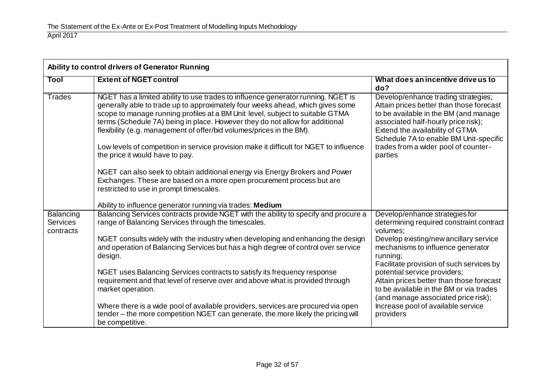| Ability to control drivers of Generator Running |                                                                                                                                                                                                                                                                                                                                                                                                                                                                                                                                                                                                                                                                                                                                             |                                                                                                                                                                                                                                                                                                 |
|-------------------------------------------------|---------------------------------------------------------------------------------------------------------------------------------------------------------------------------------------------------------------------------------------------------------------------------------------------------------------------------------------------------------------------------------------------------------------------------------------------------------------------------------------------------------------------------------------------------------------------------------------------------------------------------------------------------------------------------------------------------------------------------------------------|-------------------------------------------------------------------------------------------------------------------------------------------------------------------------------------------------------------------------------------------------------------------------------------------------|
| Tool                                            | <b>Extent of NGET control</b>                                                                                                                                                                                                                                                                                                                                                                                                                                                                                                                                                                                                                                                                                                               | What does an incentive drive us to<br>do?                                                                                                                                                                                                                                                       |
| <b>Trades</b>                                   | NGET has a limited ability to use trades to influence generator running. NGET is<br>generally able to trade up to approximately four weeks ahead, which gives some<br>scope to manage running profiles at a BM Unit level, subject to suitable GTMA<br>terms (Schedule 7A) being in place. However they do not allow for additional<br>flexibility (e.g. management of offer/bid volumes/prices in the BM).<br>Low levels of competition in service provision make it difficult for NGET to influence<br>the price it would have to pay.<br>NGET can also seek to obtain additional energy via Energy Brokers and Power<br>Exchanges. These are based on a more open procurement process but are<br>restricted to use in prompt timescales. | Develop/enhance trading strategies;<br>Attain prices better than those forecast<br>to be available in the BM (and manage<br>associated half-hourly price risk);<br>Extend the availability of GTMA<br>Schedule 7A to enable BM Unit-specific<br>trades from a wider pool of counter-<br>parties |
|                                                 | Ability to influence generator running via trades: Medium                                                                                                                                                                                                                                                                                                                                                                                                                                                                                                                                                                                                                                                                                   |                                                                                                                                                                                                                                                                                                 |
| Balancing<br>Services<br>contracts              | Balancing Services contracts provide NGET with the ability to specify and procure a<br>range of Balancing Services through the timescales.                                                                                                                                                                                                                                                                                                                                                                                                                                                                                                                                                                                                  | Develop/enhance strategies for<br>determining required constraint contract<br>volumes;                                                                                                                                                                                                          |
|                                                 | NGET consults widely with the industry when developing and enhancing the design<br>and operation of Balancing Services but has a high degree of control over service<br>design.                                                                                                                                                                                                                                                                                                                                                                                                                                                                                                                                                             | Develop existing/new ancillary service<br>mechanisms to influence generator<br>running;<br>Facilitate provision of such services by                                                                                                                                                             |
|                                                 | NGET uses Balancing Services contracts to satisfy its frequency response<br>requirement and that level of reserve over and above what is provided through<br>market operation.                                                                                                                                                                                                                                                                                                                                                                                                                                                                                                                                                              | potential service providers;<br>Attain prices better than those forecast<br>to be available in the BM or via trades<br>(and manage associated price risk);                                                                                                                                      |
|                                                 | Where there is a wide pool of available providers, services are procured via open<br>tender - the more competition NGET can generate, the more likely the pricing will<br>be competitive.                                                                                                                                                                                                                                                                                                                                                                                                                                                                                                                                                   | Increase pool of available service<br>providers                                                                                                                                                                                                                                                 |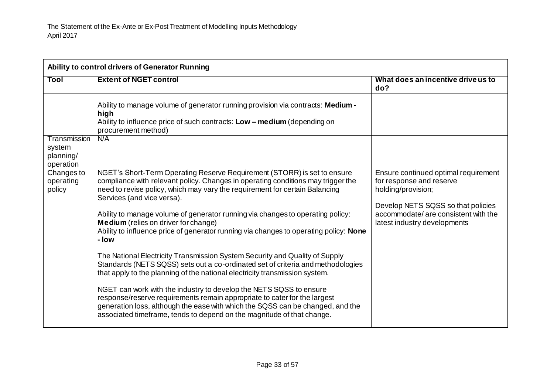| Ability to control drivers of Generator Running |                                                                                                                                                                                                                                                                                                             |                                                                                                                              |
|-------------------------------------------------|-------------------------------------------------------------------------------------------------------------------------------------------------------------------------------------------------------------------------------------------------------------------------------------------------------------|------------------------------------------------------------------------------------------------------------------------------|
| Tool                                            | <b>Extent of NGET control</b>                                                                                                                                                                                                                                                                               | What does an incentive drive us to<br>do?                                                                                    |
| Transmission<br>system                          | Ability to manage volume of generator running provision via contracts: Medium -<br>high<br>Ability to influence price of such contracts: Low - medium (depending on<br>procurement method)<br>N/A                                                                                                           |                                                                                                                              |
| planning/<br>operation                          |                                                                                                                                                                                                                                                                                                             |                                                                                                                              |
| Changes to<br>operating<br>policy               | NGET's Short-Term Operating Reserve Requirement (STORR) is set to ensure<br>compliance with relevant policy. Changes in operating conditions may trigger the<br>need to revise policy, which may vary the requirement for certain Balancing<br>Services (and vice versa).                                   | Ensure continued optimal requirement<br>for response and reserve<br>holding/provision;<br>Develop NETS SQSS so that policies |
|                                                 | Ability to manage volume of generator running via changes to operating policy:<br><b>Medium</b> (relies on driver for change)<br>Ability to influence price of generator running via changes to operating policy: None<br>- Iow                                                                             | accommodate/ are consistent with the<br>latest industry developments                                                         |
|                                                 | The National Electricity Transmission System Security and Quality of Supply<br>Standards (NETS SQSS) sets out a co-ordinated set of criteria and methodologies<br>that apply to the planning of the national electricity transmission system.                                                               |                                                                                                                              |
|                                                 | NGET can work with the industry to develop the NETS SQSS to ensure<br>response/reserve requirements remain appropriate to cater for the largest<br>generation loss, although the ease with which the SQSS can be changed, and the<br>associated timeframe, tends to depend on the magnitude of that change. |                                                                                                                              |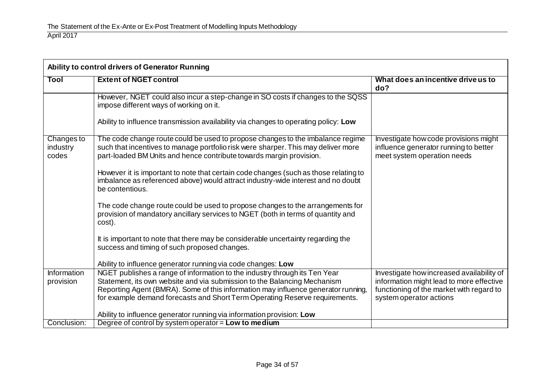| Ability to control drivers of Generator Running |                                                                                                                                                                                                                                                                                                                            |                                                                                                                                                              |
|-------------------------------------------------|----------------------------------------------------------------------------------------------------------------------------------------------------------------------------------------------------------------------------------------------------------------------------------------------------------------------------|--------------------------------------------------------------------------------------------------------------------------------------------------------------|
| Tool                                            | <b>Extent of NGET control</b>                                                                                                                                                                                                                                                                                              | What does an incentive drive us to<br>do?                                                                                                                    |
|                                                 | However, NGET could also incur a step-change in SO costs if changes to the SQSS<br>impose different ways of working on it.                                                                                                                                                                                                 |                                                                                                                                                              |
|                                                 | Ability to influence transmission availability via changes to operating policy: Low                                                                                                                                                                                                                                        |                                                                                                                                                              |
| Changes to<br>industry<br>codes                 | The code change route could be used to propose changes to the imbalance regime<br>such that incentives to manage portfolio risk were sharper. This may deliver more<br>part-loaded BM Units and hence contribute towards margin provision.                                                                                 | Investigate how code provisions might<br>influence generator running to better<br>meet system operation needs                                                |
|                                                 | However it is important to note that certain code changes (such as those relating to<br>imbalance as referenced above) would attract industry-wide interest and no doubt<br>be contentious.                                                                                                                                |                                                                                                                                                              |
|                                                 | The code change route could be used to propose changes to the arrangements for<br>provision of mandatory ancillary services to NGET (both in terms of quantity and<br>cost).                                                                                                                                               |                                                                                                                                                              |
|                                                 | It is important to note that there may be considerable uncertainty regarding the<br>success and timing of such proposed changes.                                                                                                                                                                                           |                                                                                                                                                              |
|                                                 | Ability to influence generator running via code changes: Low                                                                                                                                                                                                                                                               |                                                                                                                                                              |
| Information<br>provision                        | NGET publishes a range of information to the industry through its Ten Year<br>Statement, its own website and via submission to the Balancing Mechanism<br>Reporting Agent (BMRA). Some of this information may influence generator running,<br>for example demand forecasts and Short Term Operating Reserve requirements. | Investigate how increased availability of<br>information might lead to more effective<br>functioning of the market with regard to<br>system operator actions |
|                                                 | Ability to influence generator running via information provision: Low                                                                                                                                                                                                                                                      |                                                                                                                                                              |
| Conclusion:                                     | Degree of control by system operator = Low to medium                                                                                                                                                                                                                                                                       |                                                                                                                                                              |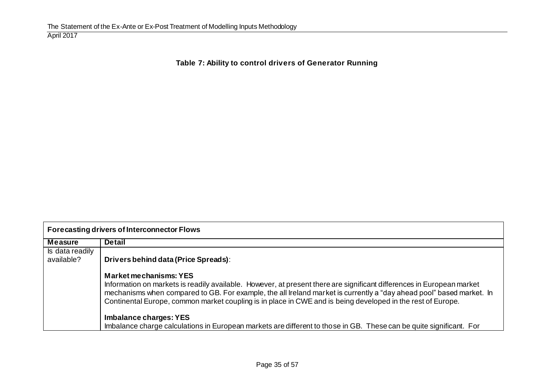# **Table 7: Ability to control drivers of Generator Running**

| <b>Forecasting drivers of Interconnector Flows</b> |                                                                                                                                                                                                                                                                                                                                                                                               |  |
|----------------------------------------------------|-----------------------------------------------------------------------------------------------------------------------------------------------------------------------------------------------------------------------------------------------------------------------------------------------------------------------------------------------------------------------------------------------|--|
| <b>Measure</b>                                     | <b>Detail</b>                                                                                                                                                                                                                                                                                                                                                                                 |  |
| Is data readily                                    |                                                                                                                                                                                                                                                                                                                                                                                               |  |
| available?                                         | Drivers behind data (Price Spreads):                                                                                                                                                                                                                                                                                                                                                          |  |
|                                                    | <b>Market mechanisms: YES</b><br>Information on markets is readily available. However, at present there are significant differences in European market<br>mechanisms when compared to GB. For example, the all Ireland market is currently a "day ahead pool" based market. In<br>Continental Europe, common market coupling is in place in CWE and is being developed in the rest of Europe. |  |
|                                                    | Imbalance charges: YES<br>Imbalance charge calculations in European markets are different to those in GB. These can be quite significant. For                                                                                                                                                                                                                                                 |  |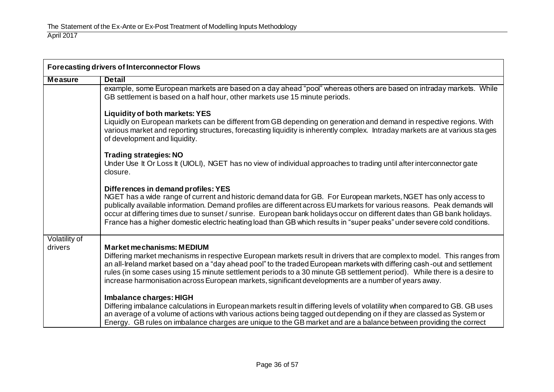| <b>Forecasting drivers of Interconnector Flows</b> |                                                                                                                                                                                                                                                                                                                                                                                                                                                                                                                                           |  |
|----------------------------------------------------|-------------------------------------------------------------------------------------------------------------------------------------------------------------------------------------------------------------------------------------------------------------------------------------------------------------------------------------------------------------------------------------------------------------------------------------------------------------------------------------------------------------------------------------------|--|
| <b>Measure</b>                                     | <b>Detail</b>                                                                                                                                                                                                                                                                                                                                                                                                                                                                                                                             |  |
|                                                    | example, some European markets are based on a day ahead "pool" whereas others are based on intraday markets. While<br>GB settlement is based on a half hour, other markets use 15 minute periods.                                                                                                                                                                                                                                                                                                                                         |  |
|                                                    | <b>Liquidity of both markets: YES</b><br>Liquidly on European markets can be different from GB depending on generation and demand in respective regions. With<br>various market and reporting structures, forecasting liquidity is inherently complex. Intraday markets are at various stages<br>of development and liquidity.                                                                                                                                                                                                            |  |
|                                                    | <b>Trading strategies: NO</b><br>Under Use It Or Loss It (UIOLI), NGET has no view of individual approaches to trading until after interconnector gate<br>closure.                                                                                                                                                                                                                                                                                                                                                                        |  |
|                                                    | Differences in demand profiles: YES<br>NGET has a wide range of current and historic demand data for GB. For European markets, NGET has only access to<br>publically available information. Demand profiles are different across EU markets for various reasons. Peak demands will<br>occur at differing times due to sunset / sunrise. European bank holidays occur on different dates than GB bank holidays.<br>France has a higher domestic electric heating load than GB which results in "super peaks" under severe cold conditions. |  |
| Volatility of<br>drivers                           | <b>Market mechanisms: MEDIUM</b><br>Differing market mechanisms in respective European markets result in drivers that are complex to model. This ranges from<br>an all-Ireland market based on a "day ahead pool" to the traded European markets with differing cash-out and settlement<br>rules (in some cases using 15 minute settlement periods to a 30 minute GB settlement period). While there is a desire to<br>increase harmonisation across European markets, significant developments are a number of years away.               |  |
|                                                    | Imbalance charges: HIGH<br>Differing imbalance calculations in European markets result in differing levels of volatility when compared to GB. GB uses<br>an average of a volume of actions with various actions being tagged out depending on if they are classed as System or<br>Energy. GB rules on imbalance charges are unique to the GB market and are a balance between providing the correct                                                                                                                                       |  |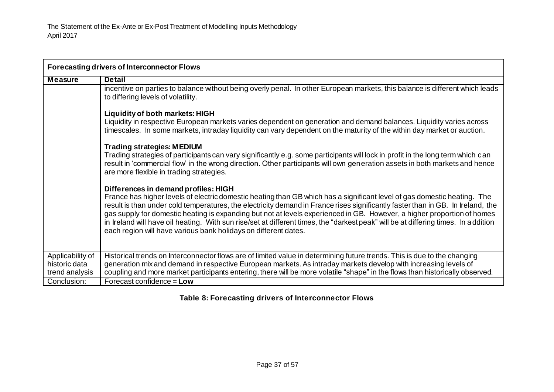| <b>Forecasting drivers of Interconnector Flows</b>  |                                                                                                                                                                                                                                                                                                                                                                                                                                                                                                                                                                                                                                         |  |
|-----------------------------------------------------|-----------------------------------------------------------------------------------------------------------------------------------------------------------------------------------------------------------------------------------------------------------------------------------------------------------------------------------------------------------------------------------------------------------------------------------------------------------------------------------------------------------------------------------------------------------------------------------------------------------------------------------------|--|
| <b>Measure</b>                                      | <b>Detail</b>                                                                                                                                                                                                                                                                                                                                                                                                                                                                                                                                                                                                                           |  |
|                                                     | incentive on parties to balance without being overly penal. In other European markets, this balance is different which leads<br>to differing levels of volatility.                                                                                                                                                                                                                                                                                                                                                                                                                                                                      |  |
|                                                     | Liquidity of both markets: HIGH<br>Liquidity in respective European markets varies dependent on generation and demand balances. Liquidity varies across<br>timescales. In some markets, intraday liquidity can vary dependent on the maturity of the within day market or auction.                                                                                                                                                                                                                                                                                                                                                      |  |
|                                                     | <b>Trading strategies: MEDIUM</b><br>Trading strategies of participants can vary significantly e.g. some participants will lock in profit in the long term which can<br>result in 'commercial flow' in the wrong direction. Other participants will own generation assets in both markets and hence<br>are more flexible in trading strategies.                                                                                                                                                                                                                                                                                         |  |
|                                                     | Differences in demand profiles: HIGH<br>France has higher levels of electric domestic heating than GB which has a significant level of gas domestic heating. The<br>result is than under cold temperatures, the electricity demand in France rises significantly faster than in GB. In Ireland, the<br>gas supply for domestic heating is expanding but not at levels experienced in GB. However, a higher proportion of homes<br>in Ireland will have oil heating. With sun rise/set at different times, the "darkest peak" will be at differing times. In addition<br>each region will have various bank holidays on different dates. |  |
| Applicability of<br>historic data<br>trend analysis | Historical trends on Interconnector flows are of limited value in determining future trends. This is due to the changing<br>generation mix and demand in respective European markets. As intraday markets develop with increasing levels of<br>coupling and more market participants entering, there will be more volatile "shape" in the flows than historically observed.                                                                                                                                                                                                                                                             |  |
| Conclusion:                                         | Forecast confidence = $Low$                                                                                                                                                                                                                                                                                                                                                                                                                                                                                                                                                                                                             |  |

# **Table 8: Forecasting drivers of Interconnector Flows**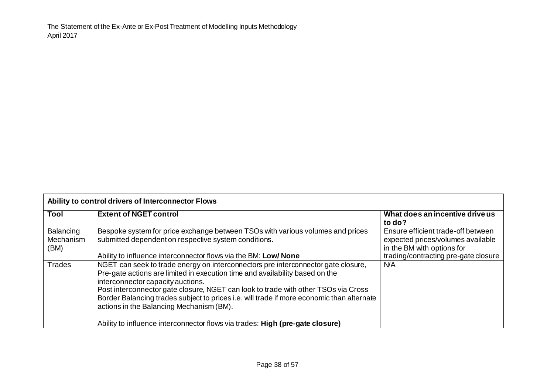| Ability to control drivers of Interconnector Flows |                                                                                                                                                                                                                                                                                                                                                                                                                                       |                                                                                                       |
|----------------------------------------------------|---------------------------------------------------------------------------------------------------------------------------------------------------------------------------------------------------------------------------------------------------------------------------------------------------------------------------------------------------------------------------------------------------------------------------------------|-------------------------------------------------------------------------------------------------------|
| <b>Tool</b>                                        | <b>Extent of NGET control</b>                                                                                                                                                                                                                                                                                                                                                                                                         | What does an incentive drive us<br>to do?                                                             |
| Balancing<br>Mechanism<br>(BM)                     | Bespoke system for price exchange between TSOs with various volumes and prices<br>submitted dependent on respective system conditions.                                                                                                                                                                                                                                                                                                | Ensure efficient trade-off between<br>expected prices/volumes available<br>in the BM with options for |
|                                                    | Ability to influence interconnector flows via the BM: Low/ None                                                                                                                                                                                                                                                                                                                                                                       | trading/contracting pre-gate closure                                                                  |
| <b>Trades</b>                                      | NGET can seek to trade energy on interconnectors pre interconnector gate closure,<br>Pre-gate actions are limited in execution time and availability based on the<br>interconnector capacity auctions.<br>Post interconnector gate closure, NGET can look to trade with other TSOs via Cross<br>Border Balancing trades subject to prices i.e. will trade if more economic than alternate<br>actions in the Balancing Mechanism (BM). | <b>N/A</b>                                                                                            |
|                                                    | Ability to influence interconnector flows via trades: High (pre-gate closure)                                                                                                                                                                                                                                                                                                                                                         |                                                                                                       |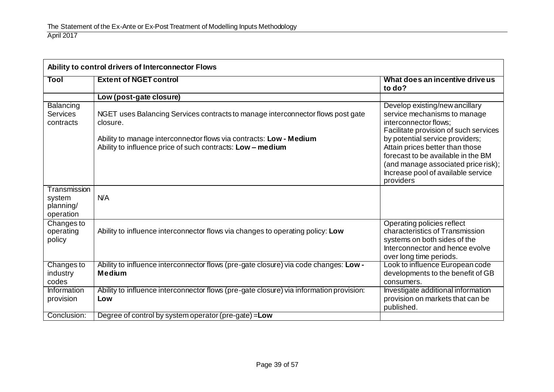| Ability to control drivers of Interconnector Flows |                                                                                                                                                                                                                                 |                                                                                                                                                                                                                                                                                                                                        |
|----------------------------------------------------|---------------------------------------------------------------------------------------------------------------------------------------------------------------------------------------------------------------------------------|----------------------------------------------------------------------------------------------------------------------------------------------------------------------------------------------------------------------------------------------------------------------------------------------------------------------------------------|
| Tool                                               | <b>Extent of NGET control</b>                                                                                                                                                                                                   | What does an incentive drive us<br>to do?                                                                                                                                                                                                                                                                                              |
|                                                    | Low (post-gate closure)                                                                                                                                                                                                         |                                                                                                                                                                                                                                                                                                                                        |
| Balancing<br><b>Services</b><br>contracts          | NGET uses Balancing Services contracts to manage interconnector flows post gate<br>closure.<br>Ability to manage interconnector flows via contracts: Low - Medium<br>Ability to influence price of such contracts: Low - medium | Develop existing/new ancillary<br>service mechanisms to manage<br>interconnector flows:<br>Facilitate provision of such services<br>by potential service providers;<br>Attain prices better than those<br>forecast to be available in the BM<br>(and manage associated price risk);<br>Increase pool of available service<br>providers |
| Transmission<br>system<br>planning/<br>operation   | N/A                                                                                                                                                                                                                             |                                                                                                                                                                                                                                                                                                                                        |
| Changes to<br>operating<br>policy                  | Ability to influence interconnector flows via changes to operating policy: Low                                                                                                                                                  | Operating policies reflect<br>characteristics of Transmission<br>systems on both sides of the<br>Interconnector and hence evolve<br>over long time periods.                                                                                                                                                                            |
| Changes to<br>industry<br>codes                    | Ability to influence interconnector flows (pre-gate closure) via code changes: Low -<br><b>Medium</b>                                                                                                                           | Look to influence European code<br>developments to the benefit of GB<br>consumers.                                                                                                                                                                                                                                                     |
| Information<br>provision                           | Ability to influence interconnector flows (pre-gate closure) via information provision:<br>Low                                                                                                                                  | Investigate additional information<br>provision on markets that can be<br>published.                                                                                                                                                                                                                                                   |
| Conclusion:                                        | Degree of control by system operator (pre-gate) = Low                                                                                                                                                                           |                                                                                                                                                                                                                                                                                                                                        |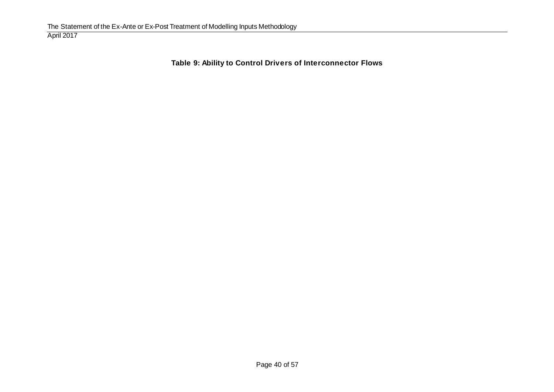**Table 9: Ability to Control Drivers of Interconnector Flows**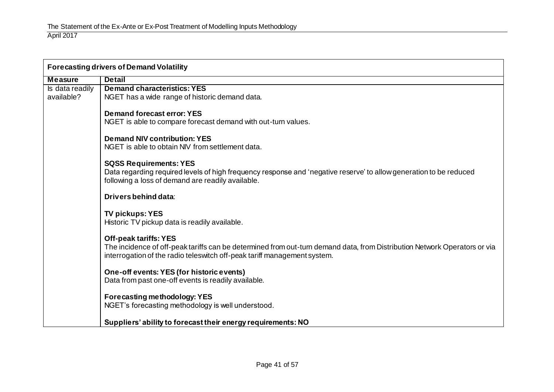| <b>Forecasting drivers of Demand Volatility</b> |                                                                                                                           |  |
|-------------------------------------------------|---------------------------------------------------------------------------------------------------------------------------|--|
| <b>Measure</b>                                  | <b>Detail</b>                                                                                                             |  |
| Is data readily                                 | <b>Demand characteristics: YES</b>                                                                                        |  |
| available?                                      | NGET has a wide range of historic demand data.                                                                            |  |
|                                                 |                                                                                                                           |  |
|                                                 | Demand forecast error: YES                                                                                                |  |
|                                                 | NGET is able to compare forecast demand with out-turn values.                                                             |  |
|                                                 |                                                                                                                           |  |
|                                                 | <b>Demand NIV contribution: YES</b><br>NGET is able to obtain NIV from settlement data.                                   |  |
|                                                 |                                                                                                                           |  |
|                                                 | <b>SQSS Requirements: YES</b>                                                                                             |  |
|                                                 | Data regarding required levels of high frequency response and 'negative reserve' to allow generation to be reduced        |  |
|                                                 | following a loss of demand are readily available.                                                                         |  |
|                                                 |                                                                                                                           |  |
|                                                 | <b>Drivers behind data:</b>                                                                                               |  |
|                                                 | <b>TV pickups: YES</b>                                                                                                    |  |
|                                                 | Historic TV pickup data is readily available.                                                                             |  |
|                                                 |                                                                                                                           |  |
|                                                 | <b>Off-peak tariffs: YES</b>                                                                                              |  |
|                                                 | The incidence of off-peak tariffs can be determined from out-turn demand data, from Distribution Network Operators or via |  |
|                                                 | interrogation of the radio teleswitch off-peak tariff management system.                                                  |  |
|                                                 |                                                                                                                           |  |
|                                                 | One-off events: YES (for historic events)                                                                                 |  |
|                                                 | Data from past one-off events is readily available.                                                                       |  |
|                                                 |                                                                                                                           |  |
|                                                 | Forecasting methodology: YES                                                                                              |  |
|                                                 | NGET's forecasting methodology is well understood.                                                                        |  |
|                                                 | Suppliers' ability to forecast their energy requirements: NO                                                              |  |
|                                                 |                                                                                                                           |  |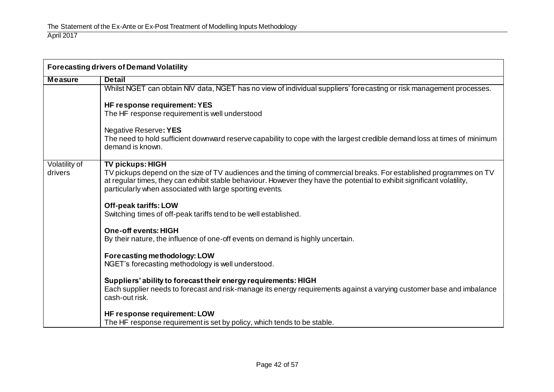| <b>Forecasting drivers of Demand Volatility</b> |                                                                                                                                                                                                                                                                                                            |
|-------------------------------------------------|------------------------------------------------------------------------------------------------------------------------------------------------------------------------------------------------------------------------------------------------------------------------------------------------------------|
| <b>Measure</b>                                  | <b>Detail</b>                                                                                                                                                                                                                                                                                              |
|                                                 | Whilst NGET can obtain NIV data, NGET has no view of individual suppliers' forecasting or risk management processes.                                                                                                                                                                                       |
|                                                 | HF response requirement: YES                                                                                                                                                                                                                                                                               |
|                                                 | The HF response requirement is well understood                                                                                                                                                                                                                                                             |
|                                                 | Negative Reserve: YES                                                                                                                                                                                                                                                                                      |
|                                                 | The need to hold sufficient downward reserve capability to cope with the largest credible demand loss at times of minimum<br>demand is known.                                                                                                                                                              |
| Volatility of                                   | <b>TV pickups: HIGH</b>                                                                                                                                                                                                                                                                                    |
| drivers                                         | TV pickups depend on the size of TV audiences and the timing of commercial breaks. For established programmes on TV<br>at regular times, they can exhibit stable behaviour. However they have the potential to exhibit significant volatility,<br>particularly when associated with large sporting events. |
|                                                 | <b>Off-peak tariffs: LOW</b><br>Switching times of off-peak tariffs tend to be well established.                                                                                                                                                                                                           |
|                                                 | <b>One-off events: HIGH</b>                                                                                                                                                                                                                                                                                |
|                                                 | By their nature, the influence of one-off events on demand is highly uncertain.                                                                                                                                                                                                                            |
|                                                 | Forecasting methodology: LOW<br>NGET's forecasting methodology is well understood.                                                                                                                                                                                                                         |
|                                                 | Suppliers' ability to forecast their energy requirements: HIGH<br>Each supplier needs to forecast and risk-manage its energy requirements against a varying customer base and imbalance<br>cash-out risk.                                                                                                  |
|                                                 | HF response requirement: LOW<br>The HF response requirement is set by policy, which tends to be stable.                                                                                                                                                                                                    |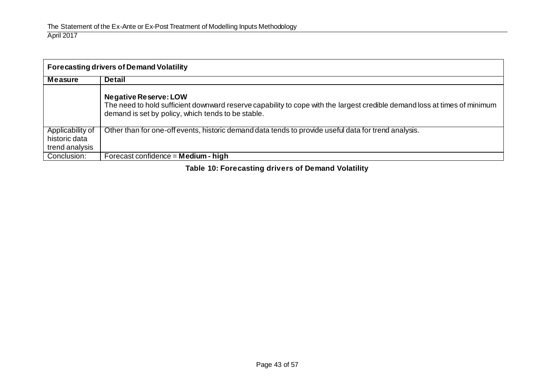| <b>Forecasting drivers of Demand Volatility</b>     |                                                                                                                                                                                                                 |  |
|-----------------------------------------------------|-----------------------------------------------------------------------------------------------------------------------------------------------------------------------------------------------------------------|--|
| Measure                                             | <b>Detail</b>                                                                                                                                                                                                   |  |
|                                                     | <b>Negative Reserve: LOW</b><br>The need to hold sufficient downward reserve capability to cope with the largest credible demand loss at times of minimum<br>demand is set by policy, which tends to be stable. |  |
| Applicability of<br>historic data<br>trend analysis | Other than for one-off events, historic demand data tends to provide useful data for trend analysis.                                                                                                            |  |
| Conclusion:                                         | Forecast confidence = $ Medium - high$                                                                                                                                                                          |  |

**Table 10: Forecasting drivers of Demand Volatility**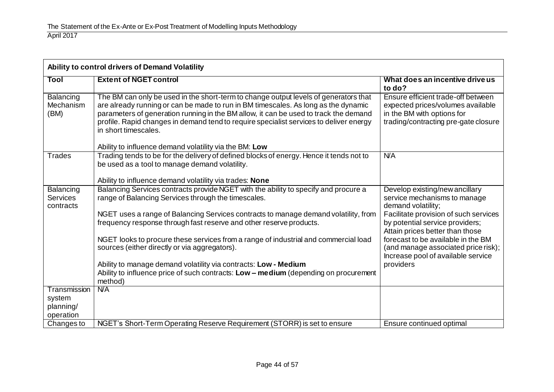| Ability to control drivers of Demand Volatility |                                                                                                                                                                                                                                                                                                                                                                                                                                                |                                                                                                                                               |
|-------------------------------------------------|------------------------------------------------------------------------------------------------------------------------------------------------------------------------------------------------------------------------------------------------------------------------------------------------------------------------------------------------------------------------------------------------------------------------------------------------|-----------------------------------------------------------------------------------------------------------------------------------------------|
| Tool                                            | <b>Extent of NGET control</b>                                                                                                                                                                                                                                                                                                                                                                                                                  | What does an incentive drive us<br>to do?                                                                                                     |
| <b>Balancing</b><br>Mechanism<br>(BM)           | The BM can only be used in the short-term to change output levels of generators that<br>are already running or can be made to run in BM timescales. As long as the dynamic<br>parameters of generation running in the BM allow, it can be used to track the demand<br>profile. Rapid changes in demand tend to require specialist services to deliver energy<br>in short timescales.<br>Ability to influence demand volatility via the BM: Low | Ensure efficient trade-off between<br>expected prices/volumes available<br>in the BM with options for<br>trading/contracting pre-gate closure |
| <b>Trades</b>                                   | Trading tends to be for the delivery of defined blocks of energy. Hence it tends not to                                                                                                                                                                                                                                                                                                                                                        | N/A                                                                                                                                           |
|                                                 | be used as a tool to manage demand volatility.                                                                                                                                                                                                                                                                                                                                                                                                 |                                                                                                                                               |
|                                                 | Ability to influence demand volatility via trades: None                                                                                                                                                                                                                                                                                                                                                                                        |                                                                                                                                               |
| Balancing<br><b>Services</b><br>contracts       | Balancing Services contracts provide NGET with the ability to specify and procure a<br>range of Balancing Services through the timescales.                                                                                                                                                                                                                                                                                                     | Develop existing/new ancillary<br>service mechanisms to manage<br>demand volatility;                                                          |
|                                                 | NGET uses a range of Balancing Services contracts to manage demand volatility, from<br>frequency response through fast reserve and other reserve products.                                                                                                                                                                                                                                                                                     | Facilitate provision of such services<br>by potential service providers;<br>Attain prices better than those                                   |
|                                                 | NGET looks to procure these services from a range of industrial and commercial load<br>sources (either directly or via aggregators).                                                                                                                                                                                                                                                                                                           | forecast to be available in the BM<br>(and manage associated price risk);<br>Increase pool of available service                               |
|                                                 | Ability to manage demand volatility via contracts: Low - Medium<br>Ability to influence price of such contracts: Low - medium (depending on procurement<br>method)                                                                                                                                                                                                                                                                             | providers                                                                                                                                     |
| Transmission                                    | <b>N/A</b>                                                                                                                                                                                                                                                                                                                                                                                                                                     |                                                                                                                                               |
| system                                          |                                                                                                                                                                                                                                                                                                                                                                                                                                                |                                                                                                                                               |
| planning/<br>operation                          |                                                                                                                                                                                                                                                                                                                                                                                                                                                |                                                                                                                                               |
| Changes to                                      | NGET's Short-Term Operating Reserve Requirement (STORR) is set to ensure                                                                                                                                                                                                                                                                                                                                                                       | Ensure continued optimal                                                                                                                      |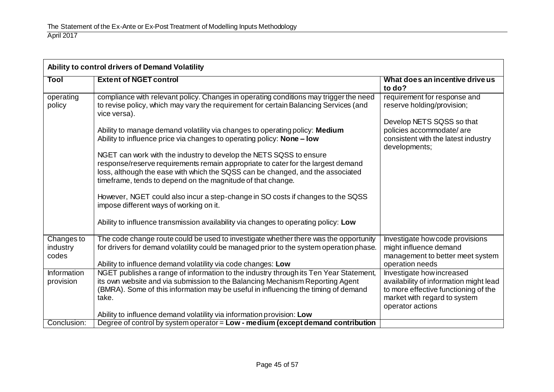| Ability to control drivers of Demand Volatility |                                                                                                                                                                                                                                                                                                                                                                                                                                                                                                                                                                                                                                                                                                                                                                                                                                                                                               |                                                                                                                                                                             |
|-------------------------------------------------|-----------------------------------------------------------------------------------------------------------------------------------------------------------------------------------------------------------------------------------------------------------------------------------------------------------------------------------------------------------------------------------------------------------------------------------------------------------------------------------------------------------------------------------------------------------------------------------------------------------------------------------------------------------------------------------------------------------------------------------------------------------------------------------------------------------------------------------------------------------------------------------------------|-----------------------------------------------------------------------------------------------------------------------------------------------------------------------------|
| <b>Tool</b>                                     | <b>Extent of NGET control</b>                                                                                                                                                                                                                                                                                                                                                                                                                                                                                                                                                                                                                                                                                                                                                                                                                                                                 | What does an incentive drive us<br>to do?                                                                                                                                   |
| operating<br>policy                             | compliance with relevant policy. Changes in operating conditions may trigger the need<br>to revise policy, which may vary the requirement for certain Balancing Services (and<br>vice versa).<br>Ability to manage demand volatility via changes to operating policy: Medium<br>Ability to influence price via changes to operating policy: <b>None - low</b><br>NGET can work with the industry to develop the NETS SQSS to ensure<br>response/reserve requirements remain appropriate to cater for the largest demand<br>loss, although the ease with which the SQSS can be changed, and the associated<br>timeframe, tends to depend on the magnitude of that change.<br>However, NGET could also incur a step-change in SO costs if changes to the SQSS<br>impose different ways of working on it.<br>Ability to influence transmission availability via changes to operating policy: Low | requirement for response and<br>reserve holding/provision;<br>Develop NETS SQSS so that<br>policies accommodate/are<br>consistent with the latest industry<br>developments; |
| Changes to<br>industry<br>codes                 | The code change route could be used to investigate whether there was the opportunity<br>for drivers for demand volatility could be managed prior to the system operation phase.<br>Ability to influence demand volatility via code changes: Low                                                                                                                                                                                                                                                                                                                                                                                                                                                                                                                                                                                                                                               | Investigate how code provisions<br>might influence demand<br>management to better meet system<br>operation needs                                                            |
| <b>Information</b><br>provision                 | NGET publishes a range of information to the industry through its Ten Year Statement,<br>its own website and via submission to the Balancing Mechanism Reporting Agent<br>(BMRA). Some of this information may be useful in influencing the timing of demand<br>take.<br>Ability to influence demand volatility via information provision: Low                                                                                                                                                                                                                                                                                                                                                                                                                                                                                                                                                | Investigate how increased<br>availability of information might lead<br>to more effective functioning of the<br>market with regard to system<br>operator actions             |
| Conclusion:                                     | Degree of control by system operator = Low - medium (except demand contribution                                                                                                                                                                                                                                                                                                                                                                                                                                                                                                                                                                                                                                                                                                                                                                                                               |                                                                                                                                                                             |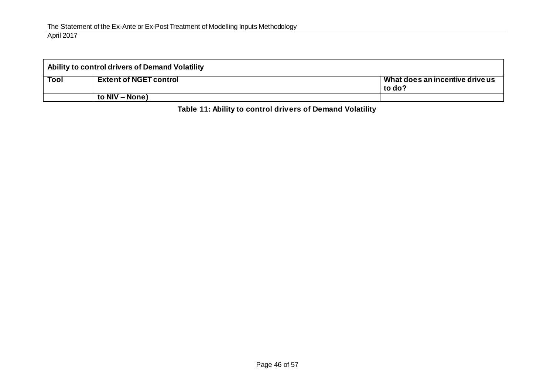| Ability to control drivers of Demand Volatility |                               |                                           |
|-------------------------------------------------|-------------------------------|-------------------------------------------|
| <b>Tool</b>                                     | <b>Extent of NGET control</b> | Nhat does an incentive drive us<br>to do? |
|                                                 | to NIV – None)                |                                           |

**Table 11: Ability to control drivers of Demand Volatility**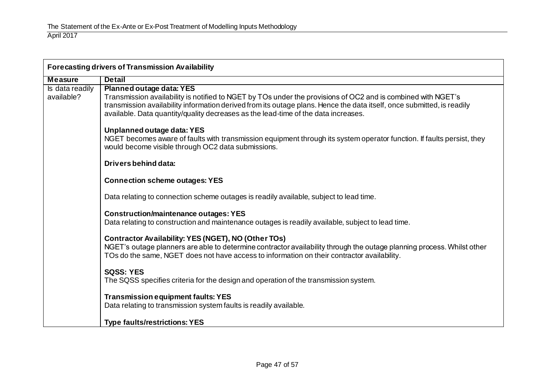| Forecasting drivers of Transmission Availability |                                                                                                                                                                                                                                                                                                                                                          |  |
|--------------------------------------------------|----------------------------------------------------------------------------------------------------------------------------------------------------------------------------------------------------------------------------------------------------------------------------------------------------------------------------------------------------------|--|
| <b>Measure</b>                                   | <b>Detail</b>                                                                                                                                                                                                                                                                                                                                            |  |
| Is data readily<br>available?                    | Planned outage data: YES<br>Transmission availability is notified to NGET by TOs under the provisions of OC2 and is combined with NGET's<br>transmission availability information derived from its outage plans. Hence the data itself, once submitted, is readily<br>available. Data quantity/quality decreases as the lead-time of the data increases. |  |
|                                                  | Unplanned outage data: YES<br>NGET becomes aware of faults with transmission equipment through its system operator function. If faults persist, they<br>would become visible through OC2 data submissions.                                                                                                                                               |  |
|                                                  | Drivers behind data:                                                                                                                                                                                                                                                                                                                                     |  |
|                                                  | <b>Connection scheme outages: YES</b>                                                                                                                                                                                                                                                                                                                    |  |
|                                                  | Data relating to connection scheme outages is readily available, subject to lead time.                                                                                                                                                                                                                                                                   |  |
|                                                  | <b>Construction/maintenance outages: YES</b><br>Data relating to construction and maintenance outages is readily available, subject to lead time.                                                                                                                                                                                                        |  |
|                                                  | Contractor Availability: YES (NGET), NO (Other TOs)<br>NGET's outage planners are able to determine contractor availability through the outage planning process. Whilst other<br>TOs do the same, NGET does not have access to information on their contractor availability.                                                                             |  |
|                                                  | <b>SQSS: YES</b><br>The SQSS specifies criteria for the design and operation of the transmission system.                                                                                                                                                                                                                                                 |  |
|                                                  | <b>Transmission equipment faults: YES</b><br>Data relating to transmission system faults is readily available.                                                                                                                                                                                                                                           |  |
|                                                  | <b>Type faults/restrictions: YES</b>                                                                                                                                                                                                                                                                                                                     |  |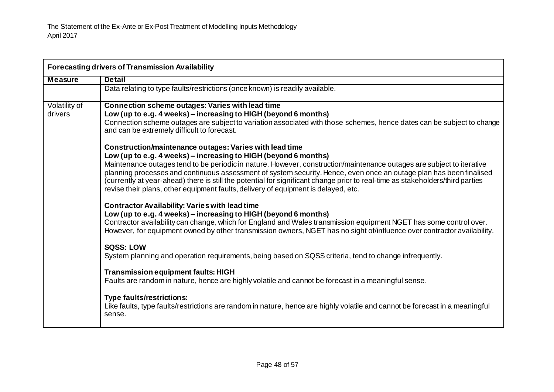| <b>Forecasting drivers of Transmission Availability</b> |                                                                                                                                                                                                                                                                                                                                                                                                                                                                                                                                                                                                                                                                                                                                                                                                                                                                                                                                                                                                                                                                                                                                                                                                                                                                                                                                                                                                                                                                                                                                                                                                                                                                                                                                                   |  |
|---------------------------------------------------------|---------------------------------------------------------------------------------------------------------------------------------------------------------------------------------------------------------------------------------------------------------------------------------------------------------------------------------------------------------------------------------------------------------------------------------------------------------------------------------------------------------------------------------------------------------------------------------------------------------------------------------------------------------------------------------------------------------------------------------------------------------------------------------------------------------------------------------------------------------------------------------------------------------------------------------------------------------------------------------------------------------------------------------------------------------------------------------------------------------------------------------------------------------------------------------------------------------------------------------------------------------------------------------------------------------------------------------------------------------------------------------------------------------------------------------------------------------------------------------------------------------------------------------------------------------------------------------------------------------------------------------------------------------------------------------------------------------------------------------------------------|--|
| <b>Measure</b>                                          | <b>Detail</b>                                                                                                                                                                                                                                                                                                                                                                                                                                                                                                                                                                                                                                                                                                                                                                                                                                                                                                                                                                                                                                                                                                                                                                                                                                                                                                                                                                                                                                                                                                                                                                                                                                                                                                                                     |  |
|                                                         | Data relating to type faults/restrictions (once known) is readily available.                                                                                                                                                                                                                                                                                                                                                                                                                                                                                                                                                                                                                                                                                                                                                                                                                                                                                                                                                                                                                                                                                                                                                                                                                                                                                                                                                                                                                                                                                                                                                                                                                                                                      |  |
| Volatility of<br>drivers                                | Connection scheme outages: Varies with lead time<br>Low (up to e.g. 4 weeks) - increasing to HIGH (beyond 6 months)<br>Connection scheme outages are subject to variation associated with those schemes, hence dates can be subject to change<br>and can be extremely difficult to forecast.<br>Construction/maintenance outages: Varies with lead time<br>Low (up to e.g. 4 weeks) - increasing to HIGH (beyond 6 months)<br>Maintenance outages tend to be periodic in nature. However, construction/maintenance outages are subject to iterative<br>planning processes and continuous assessment of system security. Hence, even once an outage plan has been finalised<br>(currently at year-ahead) there is still the potential for significant change prior to real-time as stakeholders/third parties<br>revise their plans, other equipment faults, delivery of equipment is delayed, etc.<br><b>Contractor Availability: Varies with lead time</b><br>Low (up to e.g. 4 weeks) - increasing to HIGH (beyond 6 months)<br>Contractor availability can change, which for England and Wales transmission equipment NGET has some control over.<br>However, for equipment owned by other transmission owners, NGET has no sight of/influence over contractor availability.<br><b>SQSS: LOW</b><br>System planning and operation requirements, being based on SQSS criteria, tend to change infrequently.<br><b>Transmission equipment faults: HIGH</b><br>Faults are random in nature, hence are highly volatile and cannot be forecast in a meaningful sense.<br><b>Type faults/restrictions:</b><br>Like faults, type faults/restrictions are random in nature, hence are highly volatile and cannot be forecast in a meaningful<br>sense. |  |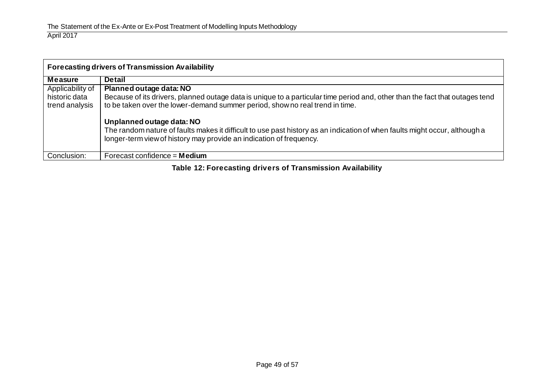| <b>Forecasting drivers of Transmission Availability</b> |                                                                                                                                                                                                              |
|---------------------------------------------------------|--------------------------------------------------------------------------------------------------------------------------------------------------------------------------------------------------------------|
| <b>Measure</b>                                          | <b>Detail</b>                                                                                                                                                                                                |
| Applicability of                                        | Planned outage data: NO                                                                                                                                                                                      |
| historic data<br>trend analysis                         | Because of its drivers, planned outage data is unique to a particular time period and, other than the fact that outages tend<br>to be taken over the lower-demand summer period, show no real trend in time. |
|                                                         | Unplanned outage data: NO                                                                                                                                                                                    |
|                                                         | The random nature of faults makes it difficult to use past history as an indication of when faults might occur, although a<br>longer-term view of history may provide an indication of frequency.            |
| Conclusion:                                             | Forecast confidence $=$ <b>Medium</b>                                                                                                                                                                        |

**Table 12: Forecasting drivers of Transmission Availability**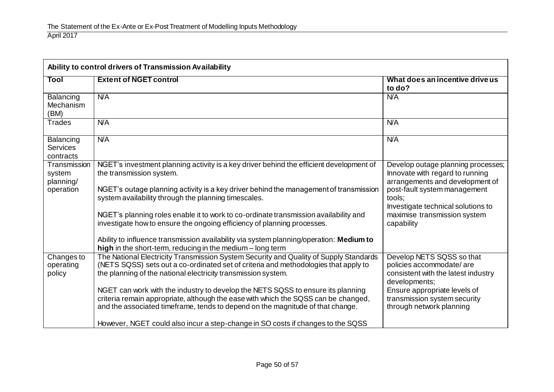| Ability to control drivers of Transmission Availability |                                                                                                                                                                                                                                                         |                                                                                                                                          |  |
|---------------------------------------------------------|---------------------------------------------------------------------------------------------------------------------------------------------------------------------------------------------------------------------------------------------------------|------------------------------------------------------------------------------------------------------------------------------------------|--|
| Tool                                                    | <b>Extent of NGET control</b>                                                                                                                                                                                                                           | What does an incentive drive us<br>to do?                                                                                                |  |
| Balancing<br>Mechanism<br>(BM)                          | N/A                                                                                                                                                                                                                                                     | N/A                                                                                                                                      |  |
| <b>Trades</b>                                           | <b>N/A</b>                                                                                                                                                                                                                                              | N/A                                                                                                                                      |  |
| Balancing<br><b>Services</b><br>contracts               | N/A                                                                                                                                                                                                                                                     | N/A                                                                                                                                      |  |
| Transmission<br>system<br>planning/<br>operation        | NGET's investment planning activity is a key driver behind the efficient development of<br>the transmission system.<br>NGET's outage planning activity is a key driver behind the management of transmission                                            | Develop outage planning processes;<br>Innovate with regard to running<br>arrangements and development of<br>post-fault system management |  |
|                                                         | system availability through the planning timescales.                                                                                                                                                                                                    | tools:<br>Investigate technical solutions to                                                                                             |  |
|                                                         | NGET's planning roles enable it to work to co-ordinate transmission availability and<br>investigate how to ensure the ongoing efficiency of planning processes.                                                                                         | maximise transmission system<br>capability                                                                                               |  |
|                                                         | Ability to influence transmission availability via system planning/operation: Medium to<br>high in the short-term, reducing in the medium - long term                                                                                                   |                                                                                                                                          |  |
| Changes to<br>operating<br>policy                       | The National Electricity Transmission System Security and Quality of Supply Standards<br>(NETS SQSS) sets out a co-ordinated set of criteria and methodologies that apply to<br>the planning of the national electricity transmission system.           | Develop NETS SQSS so that<br>policies accommodate/are<br>consistent with the latest industry<br>developments;                            |  |
|                                                         | NGET can work with the industry to develop the NETS SQSS to ensure its planning<br>criteria remain appropriate, although the ease with which the SQSS can be changed,<br>and the associated timeframe, tends to depend on the magnitude of that change. | Ensure appropriate levels of<br>transmission system security<br>through network planning                                                 |  |
|                                                         | However, NGET could also incur a step-change in SO costs if changes to the SQSS                                                                                                                                                                         |                                                                                                                                          |  |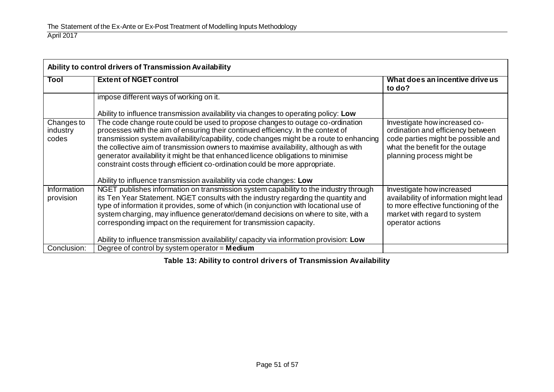| Ability to control drivers of Transmission Availability |                                                                                                                                                                                                                                                                                                                                                                                                                                                                                                                          |                                                                                                                                                                          |  |
|---------------------------------------------------------|--------------------------------------------------------------------------------------------------------------------------------------------------------------------------------------------------------------------------------------------------------------------------------------------------------------------------------------------------------------------------------------------------------------------------------------------------------------------------------------------------------------------------|--------------------------------------------------------------------------------------------------------------------------------------------------------------------------|--|
| Tool                                                    | <b>Extent of NGET control</b>                                                                                                                                                                                                                                                                                                                                                                                                                                                                                            | What does an incentive drive us<br>to do?                                                                                                                                |  |
|                                                         | impose different ways of working on it.                                                                                                                                                                                                                                                                                                                                                                                                                                                                                  |                                                                                                                                                                          |  |
|                                                         | Ability to influence transmission availability via changes to operating policy: Low                                                                                                                                                                                                                                                                                                                                                                                                                                      |                                                                                                                                                                          |  |
| Changes to<br>industry<br>codes                         | The code change route could be used to propose changes to outage co-ordination<br>processes with the aim of ensuring their continued efficiency. In the context of<br>transmission system availability/capability, code changes might be a route to enhancing<br>the collective aim of transmission owners to maximise availability, although as with<br>generator availability it might be that enhanced licence obligations to minimise<br>constraint costs through efficient co-ordination could be more appropriate. | Investigate how increased co-<br>ordination and efficiency between<br>code parties might be possible and<br>what the benefit for the outage<br>planning process might be |  |
|                                                         | Ability to influence transmission availability via code changes: Low                                                                                                                                                                                                                                                                                                                                                                                                                                                     |                                                                                                                                                                          |  |
| Information<br>provision                                | NGET publishes information on transmission system capability to the industry through<br>its Ten Year Statement. NGET consults with the industry regarding the quantity and<br>type of information it provides, some of which (in conjunction with locational use of<br>system charging, may influence generator/demand decisions on where to site, with a<br>corresponding impact on the requirement for transmission capacity.                                                                                          | Investigate how increased<br>availability of information might lead<br>to more effective functioning of the<br>market with regard to system<br>operator actions          |  |
|                                                         | Ability to influence transmission availability/capacity via information provision: Low                                                                                                                                                                                                                                                                                                                                                                                                                                   |                                                                                                                                                                          |  |
| Conclusion:                                             | Degree of control by system operator = $Median$                                                                                                                                                                                                                                                                                                                                                                                                                                                                          |                                                                                                                                                                          |  |

**Table 13: Ability to control drivers of Transmission Availability**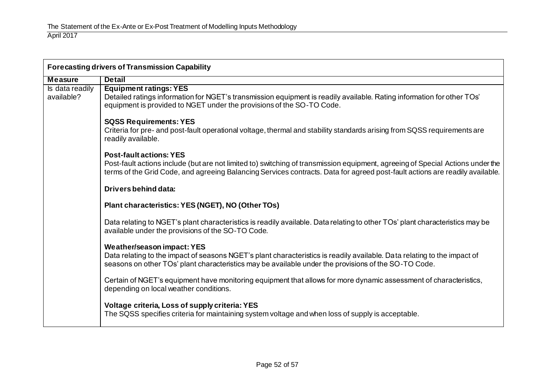| <b>Forecasting drivers of Transmission Capability</b> |                                                                                                                                                                                                                                                                                                  |  |
|-------------------------------------------------------|--------------------------------------------------------------------------------------------------------------------------------------------------------------------------------------------------------------------------------------------------------------------------------------------------|--|
| <b>Measure</b>                                        | <b>Detail</b>                                                                                                                                                                                                                                                                                    |  |
| Is data readily<br>available?                         | <b>Equipment ratings: YES</b><br>Detailed ratings information for NGET's transmission equipment is readily available. Rating information for other TOs'<br>equipment is provided to NGET under the provisions of the SO-TO Code.                                                                 |  |
|                                                       | <b>SQSS Requirements: YES</b><br>Criteria for pre- and post-fault operational voltage, thermal and stability standards arising from SQSS requirements are<br>readily available.                                                                                                                  |  |
|                                                       | <b>Post-fault actions: YES</b><br>Post-fault actions include (but are not limited to) switching of transmission equipment, agreeing of Special Actions under the<br>terms of the Grid Code, and agreeing Balancing Services contracts. Data for agreed post-fault actions are readily available. |  |
|                                                       | Drivers behind data:                                                                                                                                                                                                                                                                             |  |
|                                                       | Plant characteristics: YES (NGET), NO (Other TOs)                                                                                                                                                                                                                                                |  |
|                                                       | Data relating to NGET's plant characteristics is readily available. Data relating to other TOs' plant characteristics may be<br>available under the provisions of the SO-TO Code.                                                                                                                |  |
|                                                       | <b>Weather/season impact: YES</b><br>Data relating to the impact of seasons NGET's plant characteristics is readily available. Data relating to the impact of<br>seasons on other TOs' plant characteristics may be available under the provisions of the SO-TO Code.                            |  |
|                                                       | Certain of NGET's equipment have monitoring equipment that allows for more dynamic assessment of characteristics,<br>depending on local weather conditions.                                                                                                                                      |  |
|                                                       | Voltage criteria, Loss of supply criteria: YES<br>The SQSS specifies criteria for maintaining system voltage and when loss of supply is acceptable.                                                                                                                                              |  |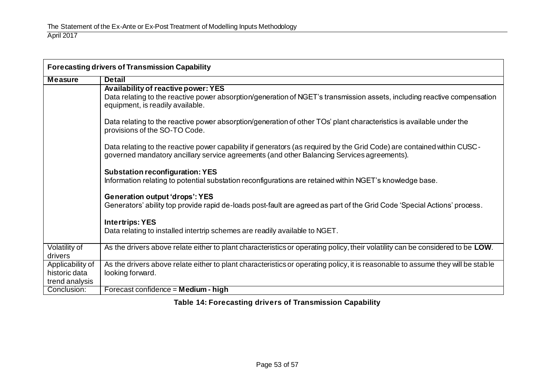| <b>Forecasting drivers of Transmission Capability</b> |                                                                                                                                                                                                                      |  |
|-------------------------------------------------------|----------------------------------------------------------------------------------------------------------------------------------------------------------------------------------------------------------------------|--|
| <b>Measure</b>                                        | <b>Detail</b>                                                                                                                                                                                                        |  |
|                                                       | Availability of reactive power: YES                                                                                                                                                                                  |  |
|                                                       | Data relating to the reactive power absorption/generation of NGET's transmission assets, including reactive compensation<br>equipment, is readily available.                                                         |  |
|                                                       | Data relating to the reactive power absorption/generation of other TOs' plant characteristics is available under the<br>provisions of the SO-TO Code.                                                                |  |
|                                                       | Data relating to the reactive power capability if generators (as required by the Grid Code) are contained within CUSC-<br>governed mandatory ancillary service agreements (and other Balancing Services agreements). |  |
|                                                       | <b>Substation reconfiguration: YES</b><br>Information relating to potential substation reconfigurations are retained within NGET's knowledge base.                                                                   |  |
|                                                       | <b>Generation output 'drops': YES</b><br>Generators' ability top provide rapid de-loads post-fault are agreed as part of the Grid Code 'Special Actions' process.                                                    |  |
|                                                       | <b>Intertrips: YES</b>                                                                                                                                                                                               |  |
|                                                       | Data relating to installed intertrip schemes are readily available to NGET.                                                                                                                                          |  |
| Volatility of                                         | As the drivers above relate either to plant characteristics or operating policy, their volatility can be considered to be LOW.                                                                                       |  |
| drivers                                               |                                                                                                                                                                                                                      |  |
| Applicability of                                      | As the drivers above relate either to plant characteristics or operating policy, it is reasonable to assume they will be stable                                                                                      |  |
| historic data                                         | looking forward.                                                                                                                                                                                                     |  |
| trend analysis                                        |                                                                                                                                                                                                                      |  |
| Conclusion:                                           | Forecast confidence = Medium - high                                                                                                                                                                                  |  |

**Table 14: Forecasting drivers of Transmission Capability**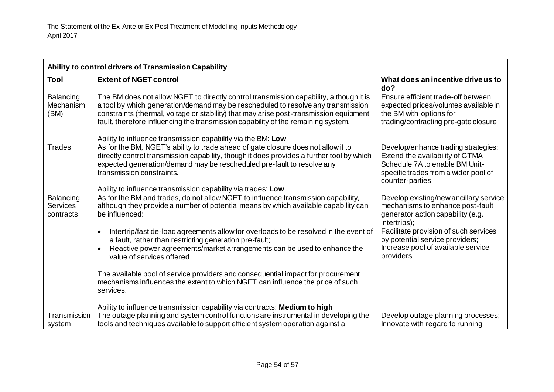| Ability to control drivers of Transmission Capability |                                                                                                                                                                                                                                                                                                                                                                                                                                                                                                                                                                                                                                          |                                                                                                                                                                                                                                                                |  |
|-------------------------------------------------------|------------------------------------------------------------------------------------------------------------------------------------------------------------------------------------------------------------------------------------------------------------------------------------------------------------------------------------------------------------------------------------------------------------------------------------------------------------------------------------------------------------------------------------------------------------------------------------------------------------------------------------------|----------------------------------------------------------------------------------------------------------------------------------------------------------------------------------------------------------------------------------------------------------------|--|
| Tool                                                  | <b>Extent of NGET control</b>                                                                                                                                                                                                                                                                                                                                                                                                                                                                                                                                                                                                            | What does an incentive drive us to<br>do?                                                                                                                                                                                                                      |  |
| Balancing<br>Mechanism<br>(BM)                        | The BM does not allow NGET to directly control transmission capability, although it is<br>a tool by which generation/demand may be rescheduled to resolve any transmission<br>constraints (thermal, voltage or stability) that may arise post-transmission equipment<br>fault, therefore influencing the transmission capability of the remaining system.<br>Ability to influence transmission capability via the BM: Low                                                                                                                                                                                                                | Ensure efficient trade-off between<br>expected prices/volumes available in<br>the BM with options for<br>trading/contracting pre-gate closure                                                                                                                  |  |
| <b>Trades</b>                                         | As for the BM, NGET's ability to trade ahead of gate closure does not allow it to<br>directly control transmission capability, though it does provides a further tool by which<br>expected generation/demand may be rescheduled pre-fault to resolve any<br>transmission constraints.<br>Ability to influence transmission capability via trades: Low                                                                                                                                                                                                                                                                                    | Develop/enhance trading strategies;<br>Extend the availability of GTMA<br>Schedule 7A to enable BM Unit-<br>specific trades from a wider pool of<br>counter-parties                                                                                            |  |
| Balancing<br><b>Services</b><br>contracts             | As for the BM and trades, do not allow NGET to influence transmission capability,<br>although they provide a number of potential means by which available capability can<br>be influenced:<br>Intertrip/fast de-load agreements allow for overloads to be resolved in the event of<br>a fault, rather than restricting generation pre-fault;<br>Reactive power agreements/market arrangements can be used to enhance the<br>$\bullet$<br>value of services offered<br>The available pool of service providers and consequential impact for procurement<br>mechanisms influences the extent to which NGET can influence the price of such | Develop existing/new ancillary service<br>mechanisms to enhance post-fault<br>generator action capability (e.g.<br>intertrips);<br>Facilitate provision of such services<br>by potential service providers;<br>Increase pool of available service<br>providers |  |
| <b>Transmission</b>                                   | services.<br>Ability to influence transmission capability via contracts: Medium to high<br>The outage planning and system control functions are instrumental in developing the                                                                                                                                                                                                                                                                                                                                                                                                                                                           | Develop outage planning processes;                                                                                                                                                                                                                             |  |
| system                                                | tools and techniques available to support efficient system operation against a                                                                                                                                                                                                                                                                                                                                                                                                                                                                                                                                                           | Innovate with regard to running                                                                                                                                                                                                                                |  |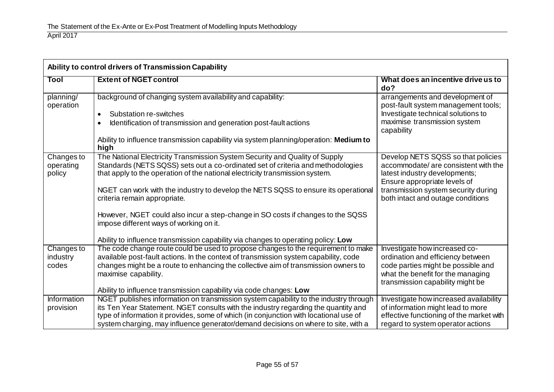| Ability to control drivers of Transmission Capability |                                                                                                                                                                                                                                                |                                                                                                                                             |  |
|-------------------------------------------------------|------------------------------------------------------------------------------------------------------------------------------------------------------------------------------------------------------------------------------------------------|---------------------------------------------------------------------------------------------------------------------------------------------|--|
| Tool                                                  | <b>Extent of NGET control</b>                                                                                                                                                                                                                  | What does an incentive drive us to<br>do?                                                                                                   |  |
| planning/<br>operation                                | background of changing system availability and capability:                                                                                                                                                                                     | arrangements and development of<br>post-fault system management tools;                                                                      |  |
|                                                       | Substation re-switches<br>Identification of transmission and generation post-fault actions                                                                                                                                                     | Investigate technical solutions to<br>maximise transmission system<br>capability                                                            |  |
|                                                       | Ability to influence transmission capability via system planning/operation: Medium to<br>high                                                                                                                                                  |                                                                                                                                             |  |
| Changes to<br>operating<br>policy                     | The National Electricity Transmission System Security and Quality of Supply<br>Standards (NETS SQSS) sets out a co-ordinated set of criteria and methodologies<br>that apply to the operation of the national electricity transmission system. | Develop NETS SQSS so that policies<br>accommodate/ are consistent with the<br>latest industry developments;<br>Ensure appropriate levels of |  |
|                                                       | NGET can work with the industry to develop the NETS SQSS to ensure its operational<br>criteria remain appropriate.                                                                                                                             | transmission system security during<br>both intact and outage conditions                                                                    |  |
|                                                       | However, NGET could also incur a step-change in SO costs if changes to the SQSS<br>impose different ways of working on it.                                                                                                                     |                                                                                                                                             |  |
|                                                       | Ability to influence transmission capability via changes to operating policy: Low                                                                                                                                                              |                                                                                                                                             |  |
| Changes to                                            | The code change route could be used to propose changes to the requirement to make                                                                                                                                                              | Investigate how increased co-                                                                                                               |  |
| industry                                              | available post-fault actions. In the context of transmission system capability, code                                                                                                                                                           | ordination and efficiency between                                                                                                           |  |
| codes                                                 | changes might be a route to enhancing the collective aim of transmission owners to                                                                                                                                                             | code parties might be possible and                                                                                                          |  |
|                                                       | maximise capability.                                                                                                                                                                                                                           | what the benefit for the managing<br>transmission capability might be                                                                       |  |
|                                                       | Ability to influence transmission capability via code changes: Low                                                                                                                                                                             |                                                                                                                                             |  |
| Information                                           | NGET publishes information on transmission system capability to the industry through                                                                                                                                                           | Investigate how increased availability                                                                                                      |  |
| provision                                             | its Ten Year Statement. NGET consults with the industry regarding the quantity and                                                                                                                                                             | of information might lead to more                                                                                                           |  |
|                                                       | type of information it provides, some of which (in conjunction with locational use of                                                                                                                                                          | effective functioning of the market with                                                                                                    |  |
|                                                       | system charging, may influence generator/demand decisions on where to site, with a                                                                                                                                                             | regard to system operator actions                                                                                                           |  |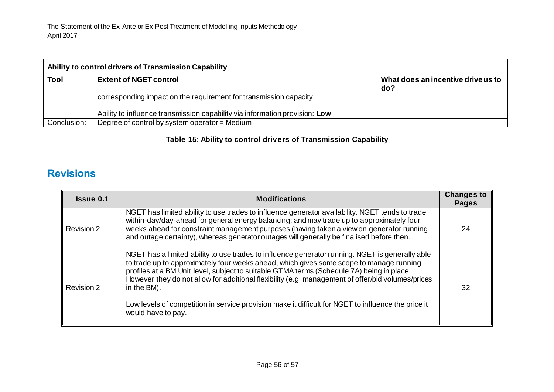| Ability to control drivers of Transmission Capability |                                                                             |                                           |
|-------------------------------------------------------|-----------------------------------------------------------------------------|-------------------------------------------|
| Tool                                                  | <b>Extent of NGET control</b>                                               | What does an incentive drive us to<br>do? |
|                                                       | corresponding impact on the requirement for transmission capacity.          |                                           |
|                                                       | Ability to influence transmission capability via information provision: Low |                                           |
| Conclusion:                                           | Degree of control by system operator = Medium                               |                                           |

**Table 15: Ability to control drivers of Transmission Capability**

# **Revisions**

<span id="page-55-0"></span>

| <b>Issue 0.1</b> | <b>Modifications</b>                                                                                                                                                                                                                                                                                                                                                                                                                                                                                                                     |    |
|------------------|------------------------------------------------------------------------------------------------------------------------------------------------------------------------------------------------------------------------------------------------------------------------------------------------------------------------------------------------------------------------------------------------------------------------------------------------------------------------------------------------------------------------------------------|----|
| Revision 2       | NGET has limited ability to use trades to influence generator availability. NGET tends to trade<br>within-day/day-ahead for general energy balancing; and may trade up to approximately four<br>weeks ahead for constraint management purposes (having taken a view on generator running<br>and outage certainty), whereas generator outages will generally be finalised before then.                                                                                                                                                    | 24 |
| Revision 2       | NGET has a limited ability to use trades to influence generator running. NGET is generally able<br>to trade up to approximately four weeks ahead, which gives some scope to manage running<br>profiles at a BM Unit level, subject to suitable GTMA terms (Schedule 7A) being in place.<br>However they do not allow for additional flexibility (e.g. management of offer/bid volumes/prices<br>in the BM).<br>Low levels of competition in service provision make it difficult for NGET to influence the price it<br>would have to pay. | 32 |